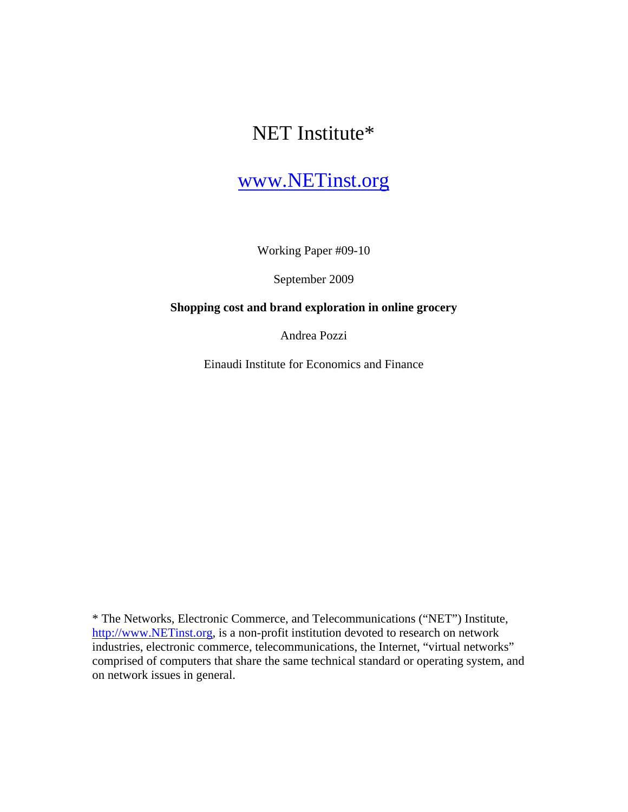# NET Institute\*

## www.NETinst.org

Working Paper #09-10

September 2009

### **Shopping cost and brand exploration in online grocery**

Andrea Pozzi

Einaudi Institute for Economics and Finance

\* The Networks, Electronic Commerce, and Telecommunications ("NET") Institute, http://www.NETinst.org, is a non-profit institution devoted to research on network industries, electronic commerce, telecommunications, the Internet, "virtual networks" comprised of computers that share the same technical standard or operating system, and on network issues in general.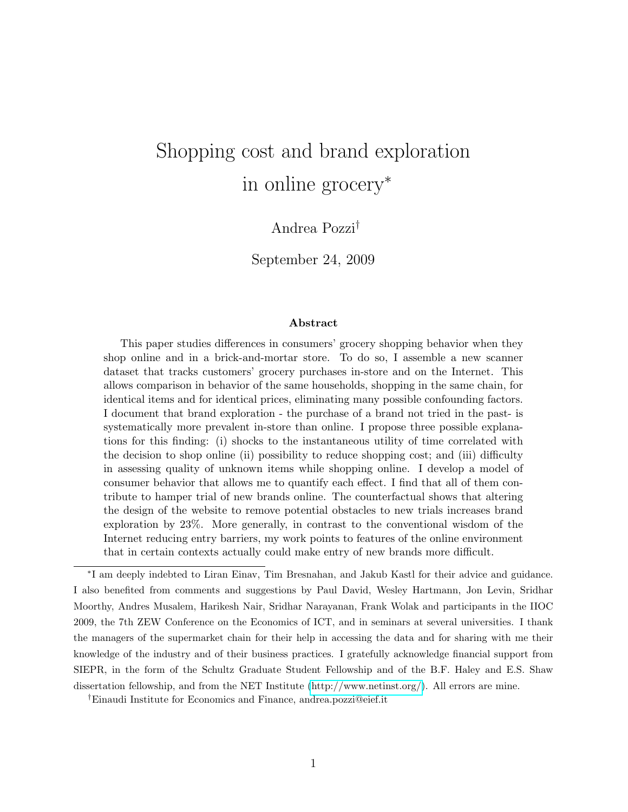# <span id="page-1-0"></span>Shopping cost and brand exploration in online grocery<sup>∗</sup>

Andrea Pozzi†

September 24, 2009

#### Abstract

This paper studies differences in consumers' grocery shopping behavior when they shop online and in a brick-and-mortar store. To do so, I assemble a new scanner dataset that tracks customers' grocery purchases in-store and on the Internet. This allows comparison in behavior of the same households, shopping in the same chain, for identical items and for identical prices, eliminating many possible confounding factors. I document that brand exploration - the purchase of a brand not tried in the past- is systematically more prevalent in-store than online. I propose three possible explanations for this finding: (i) shocks to the instantaneous utility of time correlated with the decision to shop online (ii) possibility to reduce shopping cost; and (iii) difficulty in assessing quality of unknown items while shopping online. I develop a model of consumer behavior that allows me to quantify each effect. I find that all of them contribute to hamper trial of new brands online. The counterfactual shows that altering the design of the website to remove potential obstacles to new trials increases brand exploration by 23%. More generally, in contrast to the conventional wisdom of the Internet reducing entry barriers, my work points to features of the online environment that in certain contexts actually could make entry of new brands more difficult.

∗ I am deeply indebted to Liran Einav, Tim Bresnahan, and Jakub Kastl for their advice and guidance. I also benefited from comments and suggestions by Paul David, Wesley Hartmann, Jon Levin, Sridhar Moorthy, Andres Musalem, Harikesh Nair, Sridhar Narayanan, Frank Wolak and participants in the IIOC 2009, the 7th ZEW Conference on the Economics of ICT, and in seminars at several universities. I thank the managers of the supermarket chain for their help in accessing the data and for sharing with me their knowledge of the industry and of their business practices. I gratefully acknowledge financial support from SIEPR, in the form of the Schultz Graduate Student Fellowship and of the B.F. Haley and E.S. Shaw dissertation fellowship, and from the NET Institute [\(http://www.netinst.org/\)](http://www.netinst.org/). All errors are mine.

†Einaudi Institute for Economics and Finance, andrea.pozzi@eief.it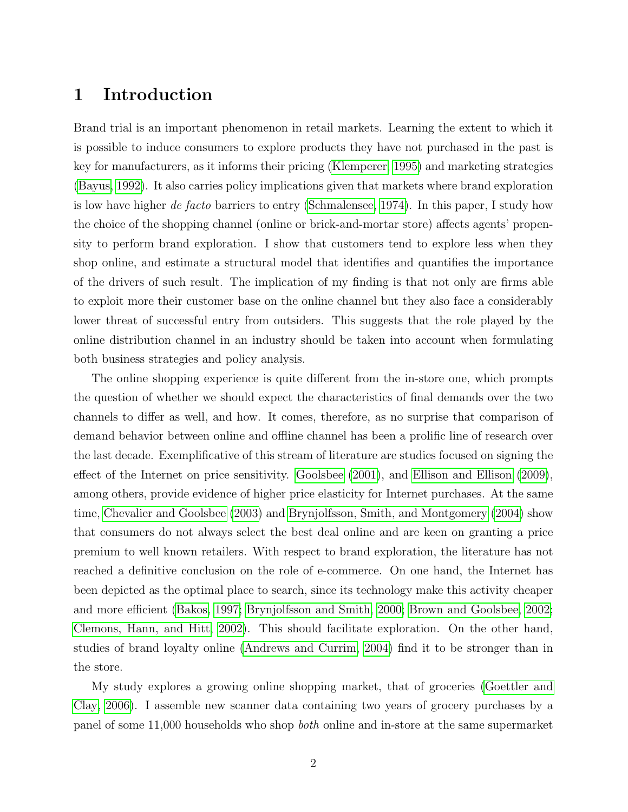### 1 Introduction

Brand trial is an important phenomenon in retail markets. Learning the extent to which it is possible to induce consumers to explore products they have not purchased in the past is key for manufacturers, as it informs their pricing [\(Klemperer, 1995\)](#page-30-0) and marketing strategies [\(Bayus, 1992\)](#page-28-0). It also carries policy implications given that markets where brand exploration is low have higher de facto barriers to entry [\(Schmalensee, 1974\)](#page-31-0). In this paper, I study how the choice of the shopping channel (online or brick-and-mortar store) affects agents' propensity to perform brand exploration. I show that customers tend to explore less when they shop online, and estimate a structural model that identifies and quantifies the importance of the drivers of such result. The implication of my finding is that not only are firms able to exploit more their customer base on the online channel but they also face a considerably lower threat of successful entry from outsiders. This suggests that the role played by the online distribution channel in an industry should be taken into account when formulating both business strategies and policy analysis.

The online shopping experience is quite different from the in-store one, which prompts the question of whether we should expect the characteristics of final demands over the two channels to differ as well, and how. It comes, therefore, as no surprise that comparison of demand behavior between online and offline channel has been a prolific line of research over the last decade. Exemplificative of this stream of literature are studies focused on signing the effect of the Internet on price sensitivity. [Goolsbee](#page-30-1) [\(2001\)](#page-30-1), and [Ellison and Ellison](#page-30-2) [\(2009\)](#page-30-2), among others, provide evidence of higher price elasticity for Internet purchases. At the same time, [Chevalier and Goolsbee](#page-29-0) [\(2003\)](#page-29-0) and [Brynjolfsson, Smith, and Montgomery](#page-28-1) [\(2004\)](#page-28-1) show that consumers do not always select the best deal online and are keen on granting a price premium to well known retailers. With respect to brand exploration, the literature has not reached a definitive conclusion on the role of e-commerce. On one hand, the Internet has been depicted as the optimal place to search, since its technology make this activity cheaper and more efficient [\(Bakos, 1997;](#page-28-2) [Brynjolfsson and Smith, 2000;](#page-28-3) [Brown and Goolsbee, 2002;](#page-28-4) [Clemons, Hann, and Hitt, 2002\)](#page-29-1). This should facilitate exploration. On the other hand, studies of brand loyalty online [\(Andrews and Currim, 2004\)](#page-28-5) find it to be stronger than in the store.

My study explores a growing online shopping market, that of groceries [\(Goettler and](#page-30-3) [Clay, 2006\)](#page-30-3). I assemble new scanner data containing two years of grocery purchases by a panel of some 11,000 households who shop both online and in-store at the same supermarket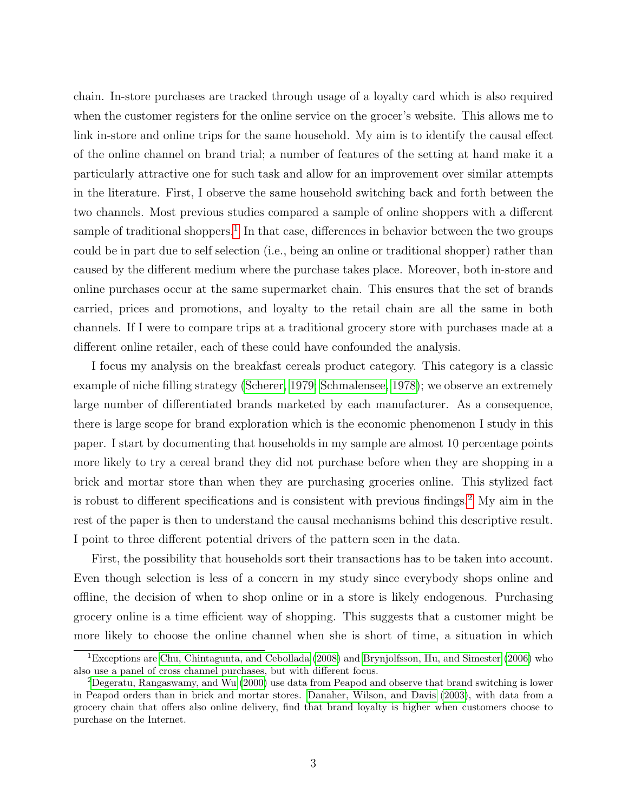chain. In-store purchases are tracked through usage of a loyalty card which is also required when the customer registers for the online service on the grocer's website. This allows me to link in-store and online trips for the same household. My aim is to identify the causal effect of the online channel on brand trial; a number of features of the setting at hand make it a particularly attractive one for such task and allow for an improvement over similar attempts in the literature. First, I observe the same household switching back and forth between the two channels. Most previous studies compared a sample of online shoppers with a different sample of traditional shoppers.<sup>[1](#page-1-0)</sup> In that case, differences in behavior between the two groups could be in part due to self selection (i.e., being an online or traditional shopper) rather than caused by the different medium where the purchase takes place. Moreover, both in-store and online purchases occur at the same supermarket chain. This ensures that the set of brands carried, prices and promotions, and loyalty to the retail chain are all the same in both channels. If I were to compare trips at a traditional grocery store with purchases made at a different online retailer, each of these could have confounded the analysis.

I focus my analysis on the breakfast cereals product category. This category is a classic example of niche filling strategy [\(Scherer, 1979;](#page-31-1) [Schmalensee, 1978\)](#page-31-2); we observe an extremely large number of differentiated brands marketed by each manufacturer. As a consequence, there is large scope for brand exploration which is the economic phenomenon I study in this paper. I start by documenting that households in my sample are almost 10 percentage points more likely to try a cereal brand they did not purchase before when they are shopping in a brick and mortar store than when they are purchasing groceries online. This stylized fact is robust to different specifications and is consistent with previous findings.[2](#page-1-0) My aim in the rest of the paper is then to understand the causal mechanisms behind this descriptive result. I point to three different potential drivers of the pattern seen in the data.

First, the possibility that households sort their transactions has to be taken into account. Even though selection is less of a concern in my study since everybody shops online and offline, the decision of when to shop online or in a store is likely endogenous. Purchasing grocery online is a time efficient way of shopping. This suggests that a customer might be more likely to choose the online channel when she is short of time, a situation in which

<sup>1</sup>Exceptions are [Chu, Chintagunta, and Cebollada](#page-29-2) [\(2008\)](#page-29-2) and [Brynjolfsson, Hu, and Simester](#page-28-6) [\(2006\)](#page-28-6) who also use a panel of cross channel purchases, but with different focus.

<sup>2</sup>[Degeratu, Rangaswamy, and Wu](#page-29-3) [\(2000\)](#page-29-3) use data from Peapod and observe that brand switching is lower in Peapod orders than in brick and mortar stores. [Danaher, Wilson, and Davis](#page-29-4) [\(2003\)](#page-29-4), with data from a grocery chain that offers also online delivery, find that brand loyalty is higher when customers choose to purchase on the Internet.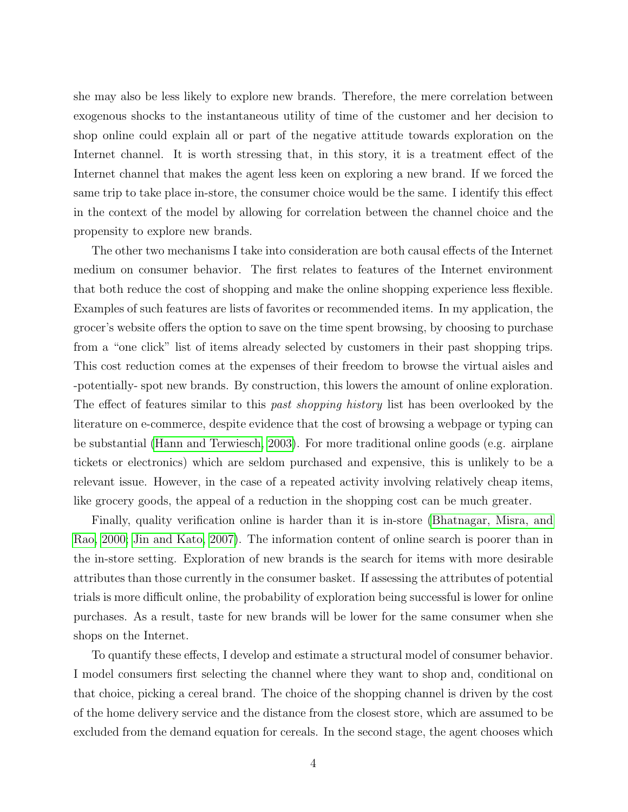she may also be less likely to explore new brands. Therefore, the mere correlation between exogenous shocks to the instantaneous utility of time of the customer and her decision to shop online could explain all or part of the negative attitude towards exploration on the Internet channel. It is worth stressing that, in this story, it is a treatment effect of the Internet channel that makes the agent less keen on exploring a new brand. If we forced the same trip to take place in-store, the consumer choice would be the same. I identify this effect in the context of the model by allowing for correlation between the channel choice and the propensity to explore new brands.

The other two mechanisms I take into consideration are both causal effects of the Internet medium on consumer behavior. The first relates to features of the Internet environment that both reduce the cost of shopping and make the online shopping experience less flexible. Examples of such features are lists of favorites or recommended items. In my application, the grocer's website offers the option to save on the time spent browsing, by choosing to purchase from a "one click" list of items already selected by customers in their past shopping trips. This cost reduction comes at the expenses of their freedom to browse the virtual aisles and -potentially- spot new brands. By construction, this lowers the amount of online exploration. The effect of features similar to this *past shopping history* list has been overlooked by the literature on e-commerce, despite evidence that the cost of browsing a webpage or typing can be substantial [\(Hann and Terwiesch, 2003\)](#page-30-4). For more traditional online goods (e.g. airplane tickets or electronics) which are seldom purchased and expensive, this is unlikely to be a relevant issue. However, in the case of a repeated activity involving relatively cheap items, like grocery goods, the appeal of a reduction in the shopping cost can be much greater.

Finally, quality verification online is harder than it is in-store [\(Bhatnagar, Misra, and](#page-28-7) [Rao, 2000;](#page-28-7) [Jin and Kato, 2007\)](#page-30-5). The information content of online search is poorer than in the in-store setting. Exploration of new brands is the search for items with more desirable attributes than those currently in the consumer basket. If assessing the attributes of potential trials is more difficult online, the probability of exploration being successful is lower for online purchases. As a result, taste for new brands will be lower for the same consumer when she shops on the Internet.

To quantify these effects, I develop and estimate a structural model of consumer behavior. I model consumers first selecting the channel where they want to shop and, conditional on that choice, picking a cereal brand. The choice of the shopping channel is driven by the cost of the home delivery service and the distance from the closest store, which are assumed to be excluded from the demand equation for cereals. In the second stage, the agent chooses which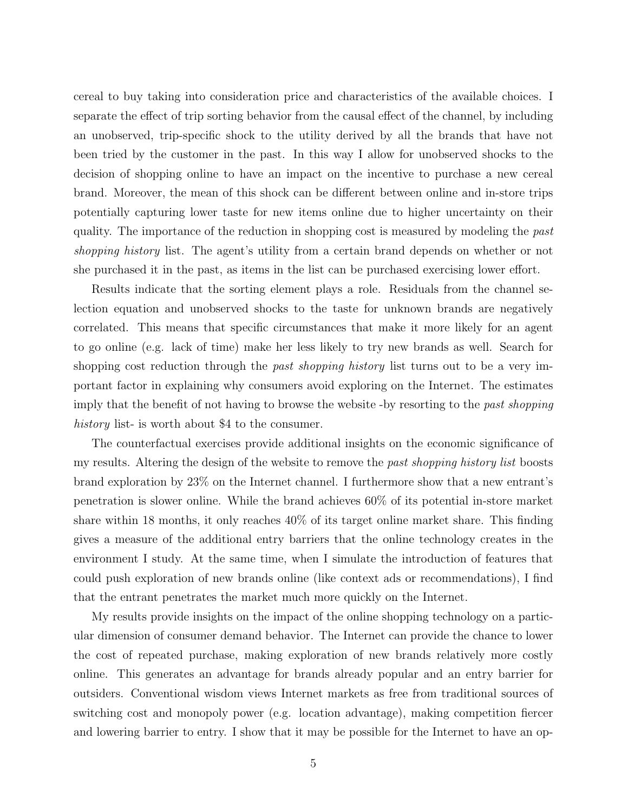cereal to buy taking into consideration price and characteristics of the available choices. I separate the effect of trip sorting behavior from the causal effect of the channel, by including an unobserved, trip-specific shock to the utility derived by all the brands that have not been tried by the customer in the past. In this way I allow for unobserved shocks to the decision of shopping online to have an impact on the incentive to purchase a new cereal brand. Moreover, the mean of this shock can be different between online and in-store trips potentially capturing lower taste for new items online due to higher uncertainty on their quality. The importance of the reduction in shopping cost is measured by modeling the past shopping history list. The agent's utility from a certain brand depends on whether or not she purchased it in the past, as items in the list can be purchased exercising lower effort.

Results indicate that the sorting element plays a role. Residuals from the channel selection equation and unobserved shocks to the taste for unknown brands are negatively correlated. This means that specific circumstances that make it more likely for an agent to go online (e.g. lack of time) make her less likely to try new brands as well. Search for shopping cost reduction through the *past shopping history* list turns out to be a very important factor in explaining why consumers avoid exploring on the Internet. The estimates imply that the benefit of not having to browse the website -by resorting to the *past shopping* history list- is worth about \$4 to the consumer.

The counterfactual exercises provide additional insights on the economic significance of my results. Altering the design of the website to remove the *past shopping history list* boosts brand exploration by 23% on the Internet channel. I furthermore show that a new entrant's penetration is slower online. While the brand achieves 60% of its potential in-store market share within 18 months, it only reaches 40% of its target online market share. This finding gives a measure of the additional entry barriers that the online technology creates in the environment I study. At the same time, when I simulate the introduction of features that could push exploration of new brands online (like context ads or recommendations), I find that the entrant penetrates the market much more quickly on the Internet.

My results provide insights on the impact of the online shopping technology on a particular dimension of consumer demand behavior. The Internet can provide the chance to lower the cost of repeated purchase, making exploration of new brands relatively more costly online. This generates an advantage for brands already popular and an entry barrier for outsiders. Conventional wisdom views Internet markets as free from traditional sources of switching cost and monopoly power (e.g. location advantage), making competition fiercer and lowering barrier to entry. I show that it may be possible for the Internet to have an op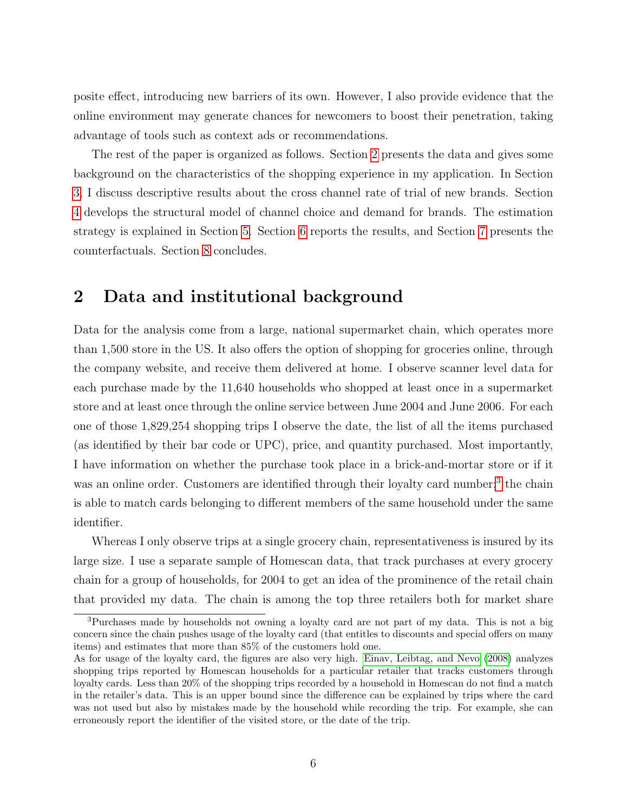posite effect, introducing new barriers of its own. However, I also provide evidence that the online environment may generate chances for newcomers to boost their penetration, taking advantage of tools such as context ads or recommendations.

The rest of the paper is organized as follows. Section [2](#page-6-0) presents the data and gives some background on the characteristics of the shopping experience in my application. In Section [3,](#page-9-0) I discuss descriptive results about the cross channel rate of trial of new brands. Section [4](#page-14-0) develops the structural model of channel choice and demand for brands. The estimation strategy is explained in Section [5.](#page-18-0) Section [6](#page-20-0) reports the results, and Section [7](#page-23-0) presents the counterfactuals. Section [8](#page-26-0) concludes.

### <span id="page-6-0"></span>2 Data and institutional background

Data for the analysis come from a large, national supermarket chain, which operates more than 1,500 store in the US. It also offers the option of shopping for groceries online, through the company website, and receive them delivered at home. I observe scanner level data for each purchase made by the 11,640 households who shopped at least once in a supermarket store and at least once through the online service between June 2004 and June 2006. For each one of those 1,829,254 shopping trips I observe the date, the list of all the items purchased (as identified by their bar code or UPC), price, and quantity purchased. Most importantly, I have information on whether the purchase took place in a brick-and-mortar store or if it was an online order. Customers are identified through their loyalty card number;<sup>[3](#page-1-0)</sup> the chain is able to match cards belonging to different members of the same household under the same identifier.

Whereas I only observe trips at a single grocery chain, representativeness is insured by its large size. I use a separate sample of Homescan data, that track purchases at every grocery chain for a group of households, for 2004 to get an idea of the prominence of the retail chain that provided my data. The chain is among the top three retailers both for market share

<sup>3</sup>Purchases made by households not owning a loyalty card are not part of my data. This is not a big concern since the chain pushes usage of the loyalty card (that entitles to discounts and special offers on many items) and estimates that more than 85% of the customers hold one.

As for usage of the loyalty card, the figures are also very high. [Einav, Leibtag, and Nevo](#page-29-5) [\(2008\)](#page-29-5) analyzes shopping trips reported by Homescan households for a particular retailer that tracks customers through loyalty cards. Less than 20% of the shopping trips recorded by a household in Homescan do not find a match in the retailer's data. This is an upper bound since the difference can be explained by trips where the card was not used but also by mistakes made by the household while recording the trip. For example, she can erroneously report the identifier of the visited store, or the date of the trip.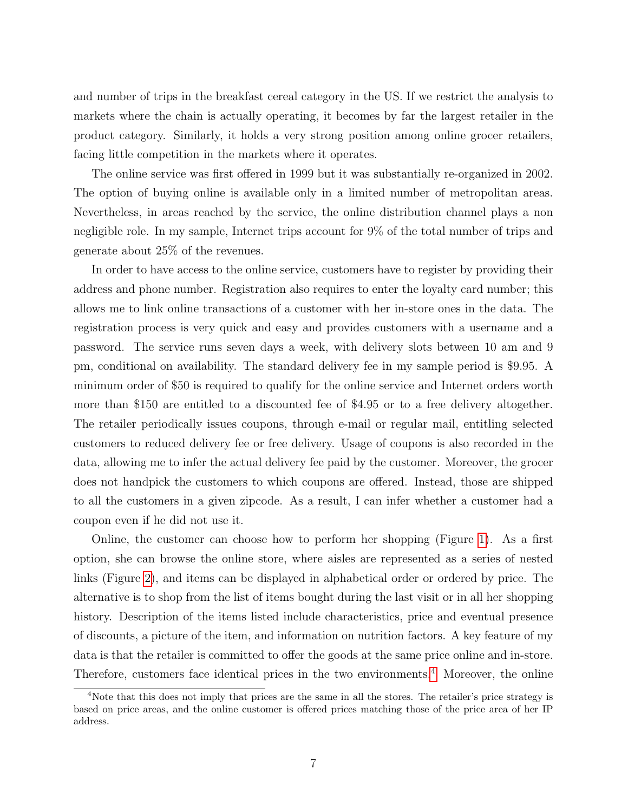and number of trips in the breakfast cereal category in the US. If we restrict the analysis to markets where the chain is actually operating, it becomes by far the largest retailer in the product category. Similarly, it holds a very strong position among online grocer retailers, facing little competition in the markets where it operates.

The online service was first offered in 1999 but it was substantially re-organized in 2002. The option of buying online is available only in a limited number of metropolitan areas. Nevertheless, in areas reached by the service, the online distribution channel plays a non negligible role. In my sample, Internet trips account for 9% of the total number of trips and generate about 25% of the revenues.

In order to have access to the online service, customers have to register by providing their address and phone number. Registration also requires to enter the loyalty card number; this allows me to link online transactions of a customer with her in-store ones in the data. The registration process is very quick and easy and provides customers with a username and a password. The service runs seven days a week, with delivery slots between 10 am and 9 pm, conditional on availability. The standard delivery fee in my sample period is \$9.95. A minimum order of \$50 is required to qualify for the online service and Internet orders worth more than \$150 are entitled to a discounted fee of \$4.95 or to a free delivery altogether. The retailer periodically issues coupons, through e-mail or regular mail, entitling selected customers to reduced delivery fee or free delivery. Usage of coupons is also recorded in the data, allowing me to infer the actual delivery fee paid by the customer. Moreover, the grocer does not handpick the customers to which coupons are offered. Instead, those are shipped to all the customers in a given zipcode. As a result, I can infer whether a customer had a coupon even if he did not use it.

Online, the customer can choose how to perform her shopping (Figure [1\)](#page-46-0). As a first option, she can browse the online store, where aisles are represented as a series of nested links (Figure [2\)](#page-46-1), and items can be displayed in alphabetical order or ordered by price. The alternative is to shop from the list of items bought during the last visit or in all her shopping history. Description of the items listed include characteristics, price and eventual presence of discounts, a picture of the item, and information on nutrition factors. A key feature of my data is that the retailer is committed to offer the goods at the same price online and in-store. Therefore, customers face identical prices in the two environments.<sup>[4](#page-1-0)</sup> Moreover, the online

<sup>4</sup>Note that this does not imply that prices are the same in all the stores. The retailer's price strategy is based on price areas, and the online customer is offered prices matching those of the price area of her IP address.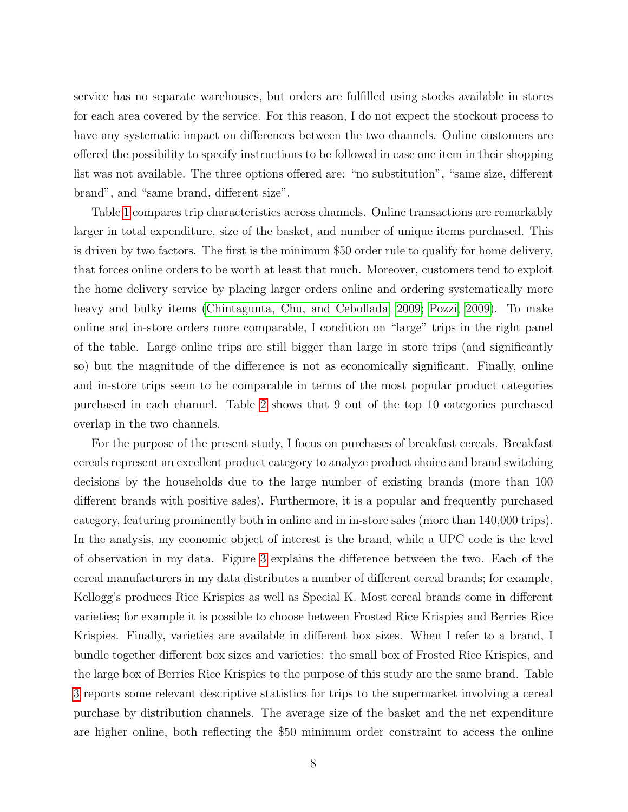service has no separate warehouses, but orders are fulfilled using stocks available in stores for each area covered by the service. For this reason, I do not expect the stockout process to have any systematic impact on differences between the two channels. Online customers are offered the possibility to specify instructions to be followed in case one item in their shopping list was not available. The three options offered are: "no substitution", "same size, different brand", and "same brand, different size".

Table [1](#page-36-0) compares trip characteristics across channels. Online transactions are remarkably larger in total expenditure, size of the basket, and number of unique items purchased. This is driven by two factors. The first is the minimum \$50 order rule to qualify for home delivery, that forces online orders to be worth at least that much. Moreover, customers tend to exploit the home delivery service by placing larger orders online and ordering systematically more heavy and bulky items [\(Chintagunta, Chu, and Cebollada, 2009;](#page-29-6) [Pozzi, 2009\)](#page-31-3). To make online and in-store orders more comparable, I condition on "large" trips in the right panel of the table. Large online trips are still bigger than large in store trips (and significantly so) but the magnitude of the difference is not as economically significant. Finally, online and in-store trips seem to be comparable in terms of the most popular product categories purchased in each channel. Table [2](#page-37-0) shows that 9 out of the top 10 categories purchased overlap in the two channels.

For the purpose of the present study, I focus on purchases of breakfast cereals. Breakfast cereals represent an excellent product category to analyze product choice and brand switching decisions by the households due to the large number of existing brands (more than 100 different brands with positive sales). Furthermore, it is a popular and frequently purchased category, featuring prominently both in online and in in-store sales (more than 140,000 trips). In the analysis, my economic object of interest is the brand, while a UPC code is the level of observation in my data. Figure [3](#page-47-0) explains the difference between the two. Each of the cereal manufacturers in my data distributes a number of different cereal brands; for example, Kellogg's produces Rice Krispies as well as Special K. Most cereal brands come in different varieties; for example it is possible to choose between Frosted Rice Krispies and Berries Rice Krispies. Finally, varieties are available in different box sizes. When I refer to a brand, I bundle together different box sizes and varieties: the small box of Frosted Rice Krispies, and the large box of Berries Rice Krispies to the purpose of this study are the same brand. Table [3](#page-38-0) reports some relevant descriptive statistics for trips to the supermarket involving a cereal purchase by distribution channels. The average size of the basket and the net expenditure are higher online, both reflecting the \$50 minimum order constraint to access the online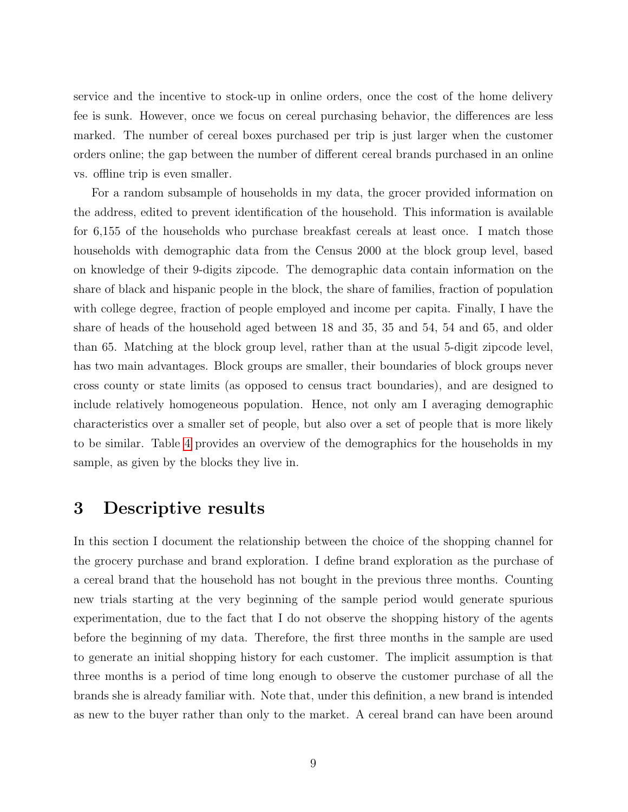service and the incentive to stock-up in online orders, once the cost of the home delivery fee is sunk. However, once we focus on cereal purchasing behavior, the differences are less marked. The number of cereal boxes purchased per trip is just larger when the customer orders online; the gap between the number of different cereal brands purchased in an online vs. offline trip is even smaller.

For a random subsample of households in my data, the grocer provided information on the address, edited to prevent identification of the household. This information is available for 6,155 of the households who purchase breakfast cereals at least once. I match those households with demographic data from the Census 2000 at the block group level, based on knowledge of their 9-digits zipcode. The demographic data contain information on the share of black and hispanic people in the block, the share of families, fraction of population with college degree, fraction of people employed and income per capita. Finally, I have the share of heads of the household aged between 18 and 35, 35 and 54, 54 and 65, and older than 65. Matching at the block group level, rather than at the usual 5-digit zipcode level, has two main advantages. Block groups are smaller, their boundaries of block groups never cross county or state limits (as opposed to census tract boundaries), and are designed to include relatively homogeneous population. Hence, not only am I averaging demographic characteristics over a smaller set of people, but also over a set of people that is more likely to be similar. Table [4](#page-39-0) provides an overview of the demographics for the households in my sample, as given by the blocks they live in.

### <span id="page-9-0"></span>3 Descriptive results

In this section I document the relationship between the choice of the shopping channel for the grocery purchase and brand exploration. I define brand exploration as the purchase of a cereal brand that the household has not bought in the previous three months. Counting new trials starting at the very beginning of the sample period would generate spurious experimentation, due to the fact that I do not observe the shopping history of the agents before the beginning of my data. Therefore, the first three months in the sample are used to generate an initial shopping history for each customer. The implicit assumption is that three months is a period of time long enough to observe the customer purchase of all the brands she is already familiar with. Note that, under this definition, a new brand is intended as new to the buyer rather than only to the market. A cereal brand can have been around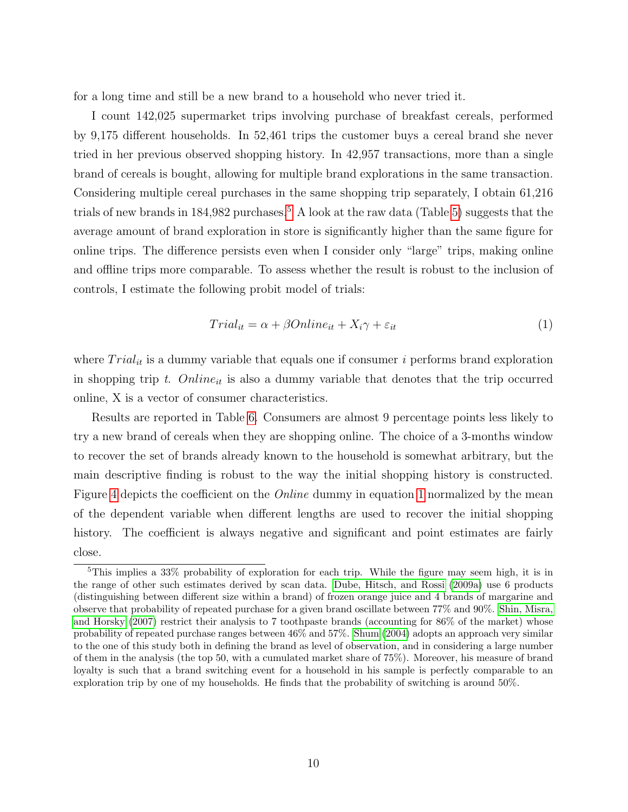for a long time and still be a new brand to a household who never tried it.

I count 142,025 supermarket trips involving purchase of breakfast cereals, performed by 9,175 different households. In 52,461 trips the customer buys a cereal brand she never tried in her previous observed shopping history. In 42,957 transactions, more than a single brand of cereals is bought, allowing for multiple brand explorations in the same transaction. Considering multiple cereal purchases in the same shopping trip separately, I obtain 61,216 trials of new brands in  $184,982$  purchases.<sup>[5](#page-1-0)</sup> A look at the raw data (Table [5\)](#page-40-0) suggests that the average amount of brand exploration in store is significantly higher than the same figure for online trips. The difference persists even when I consider only "large" trips, making online and offline trips more comparable. To assess whether the result is robust to the inclusion of controls, I estimate the following probit model of trials:

<span id="page-10-0"></span>
$$
Trial_{it} = \alpha + \beta Online_{it} + X_i \gamma + \varepsilon_{it}
$$
\n<sup>(1)</sup>

where  $Trial_{it}$  is a dummy variable that equals one if consumer i performs brand exploration in shopping trip t.  $Online_{it}$  is also a dummy variable that denotes that the trip occurred online, X is a vector of consumer characteristics.

Results are reported in Table [6.](#page-41-0) Consumers are almost 9 percentage points less likely to try a new brand of cereals when they are shopping online. The choice of a 3-months window to recover the set of brands already known to the household is somewhat arbitrary, but the main descriptive finding is robust to the way the initial shopping history is constructed. Figure [4](#page-48-0) depicts the coefficient on the *Online* dummy in equation [1](#page-10-0) normalized by the mean of the dependent variable when different lengths are used to recover the initial shopping history. The coefficient is always negative and significant and point estimates are fairly close.

<sup>5</sup>This implies a 33% probability of exploration for each trip. While the figure may seem high, it is in the range of other such estimates derived by scan data. [Dube, Hitsch, and Rossi](#page-29-7) [\(2009a\)](#page-29-7) use 6 products (distinguishing between different size within a brand) of frozen orange juice and 4 brands of margarine and observe that probability of repeated purchase for a given brand oscillate between 77% and 90%. [Shin, Misra,](#page-31-4) [and Horsky](#page-31-4) [\(2007\)](#page-31-4) restrict their analysis to 7 toothpaste brands (accounting for 86% of the market) whose probability of repeated purchase ranges between 46% and 57%. [Shum](#page-31-5) [\(2004\)](#page-31-5) adopts an approach very similar to the one of this study both in defining the brand as level of observation, and in considering a large number of them in the analysis (the top 50, with a cumulated market share of 75%). Moreover, his measure of brand loyalty is such that a brand switching event for a household in his sample is perfectly comparable to an exploration trip by one of my households. He finds that the probability of switching is around 50%.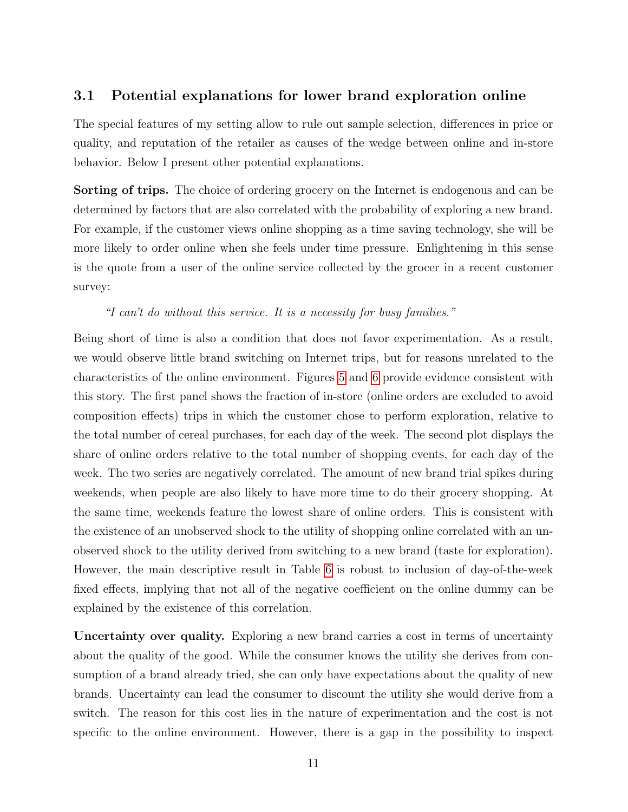### 3.1 Potential explanations for lower brand exploration online

The special features of my setting allow to rule out sample selection, differences in price or quality, and reputation of the retailer as causes of the wedge between online and in-store behavior. Below I present other potential explanations.

Sorting of trips. The choice of ordering grocery on the Internet is endogenous and can be determined by factors that are also correlated with the probability of exploring a new brand. For example, if the customer views online shopping as a time saving technology, she will be more likely to order online when she feels under time pressure. Enlightening in this sense is the quote from a user of the online service collected by the grocer in a recent customer survey:

#### "I can't do without this service. It is a necessity for busy families."

Being short of time is also a condition that does not favor experimentation. As a result, we would observe little brand switching on Internet trips, but for reasons unrelated to the characteristics of the online environment. Figures [5](#page-49-0) and [6](#page-49-1) provide evidence consistent with this story. The first panel shows the fraction of in-store (online orders are excluded to avoid composition effects) trips in which the customer chose to perform exploration, relative to the total number of cereal purchases, for each day of the week. The second plot displays the share of online orders relative to the total number of shopping events, for each day of the week. The two series are negatively correlated. The amount of new brand trial spikes during weekends, when people are also likely to have more time to do their grocery shopping. At the same time, weekends feature the lowest share of online orders. This is consistent with the existence of an unobserved shock to the utility of shopping online correlated with an unobserved shock to the utility derived from switching to a new brand (taste for exploration). However, the main descriptive result in Table [6](#page-41-0) is robust to inclusion of day-of-the-week fixed effects, implying that not all of the negative coefficient on the online dummy can be explained by the existence of this correlation.

Uncertainty over quality. Exploring a new brand carries a cost in terms of uncertainty about the quality of the good. While the consumer knows the utility she derives from consumption of a brand already tried, she can only have expectations about the quality of new brands. Uncertainty can lead the consumer to discount the utility she would derive from a switch. The reason for this cost lies in the nature of experimentation and the cost is not specific to the online environment. However, there is a gap in the possibility to inspect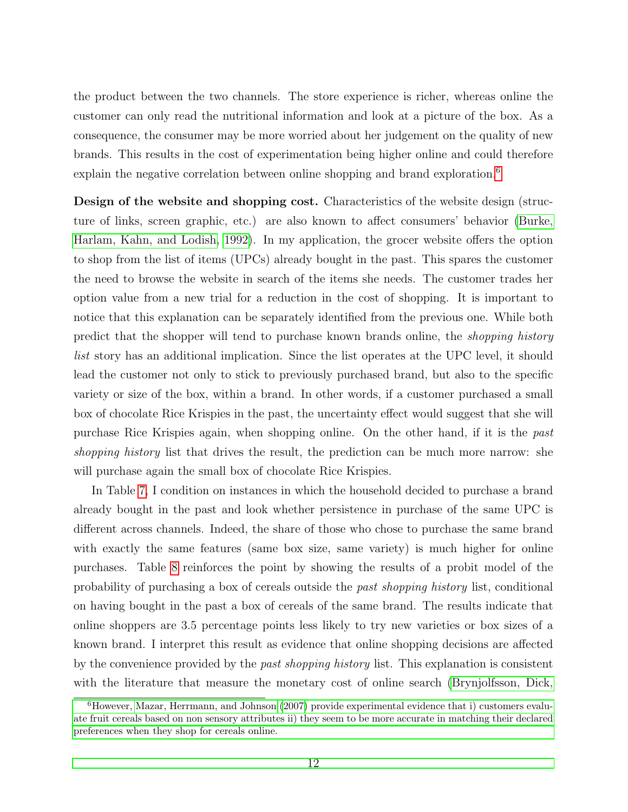the product between the two channels. The store experience is richer, whereas online the customer can only read the nutritional information and look at a picture of the box. As a consequence, the consumer may be more worried about her judgement on the quality of new brands. This results in the cost of experimentation being higher online and could therefore explain the negative correlation between online shopping and brand exploration.<sup>[6](#page-1-0)</sup>

Design of the website and shopping cost. Characteristics of the website design (structure of links, screen graphic, etc.) are also known to affect consumers' behavior [\(Burke,](#page-29-8) [Harlam, Kahn, and Lodish, 1992\)](#page-29-8). In my application, the grocer website offers the option to shop from the list of items (UPCs) already bought in the past. This spares the customer the need to browse the website in search of the items she needs. The customer trades her option value from a new trial for a reduction in the cost of shopping. It is important to notice that this explanation can be separately identified from the previous one. While both predict that the shopper will tend to purchase known brands online, the shopping history list story has an additional implication. Since the list operates at the UPC level, it should lead the customer not only to stick to previously purchased brand, but also to the specific variety or size of the box, within a brand. In other words, if a customer purchased a small box of chocolate Rice Krispies in the past, the uncertainty effect would suggest that she will purchase Rice Krispies again, when shopping online. On the other hand, if it is the past shopping history list that drives the result, the prediction can be much more narrow: she will purchase again the small box of chocolate Rice Krispies.

In Table [7,](#page-42-0) I condition on instances in which the household decided to purchase a brand already bought in the past and look whether persistence in purchase of the same UPC is different across channels. Indeed, the share of those who chose to purchase the same brand with exactly the same features (same box size, same variety) is much higher for online purchases. Table [8](#page-43-0) reinforces the point by showing the results of a probit model of the probability of purchasing a box of cereals outside the past shopping history list, conditional on having bought in the past a box of cereals of the same brand. The results indicate that online shoppers are 3.5 percentage points less likely to try new varieties or box sizes of a known brand. I interpret this result as evidence that online shopping decisions are affected by the convenience provided by the *past shopping history* list. This explanation is consistent with the literature that measure the monetary cost of online search [\(Brynjolfsson, Dick,](#page-28-8)

 $6$ [However, Mazar, Herrmann, and Johnson \(2007\) provide experimental evidence that i\) customers evalu](#page-28-8)[ate fruit cereals based on non sensory attributes ii\) they seem to be more accurate in matching their declared](#page-28-8) [preferences when they shop for cereals online.](#page-28-8)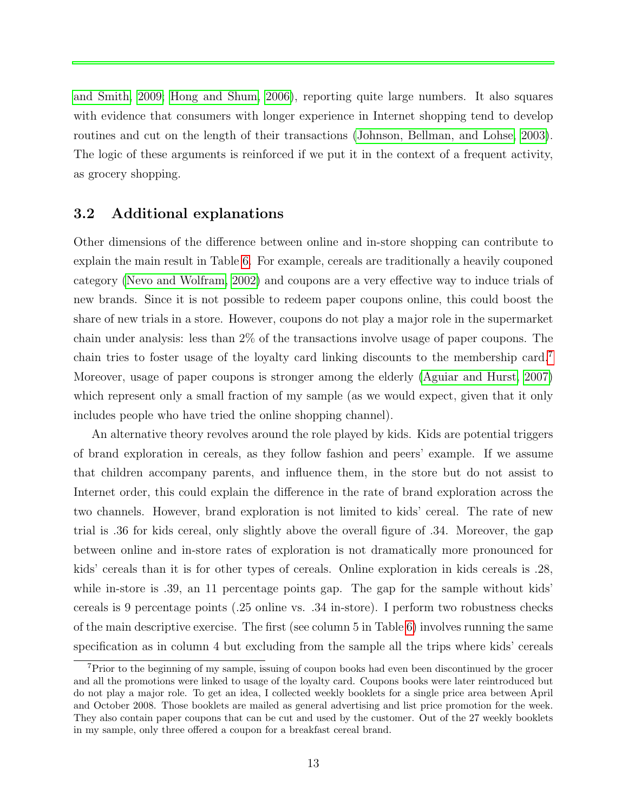[and Smith, 2009;](#page-28-8) [Hong and Shum, 2006\)](#page-30-7), reporting quite large numbers. It also squares with evidence that consumers with longer experience in Internet shopping tend to develop routines and cut on the length of their transactions [\(Johnson, Bellman, and Lohse, 2003\)](#page-30-8). The logic of these arguments is reinforced if we put it in the context of a frequent activity, as grocery shopping.

### 3.2 Additional explanations

Other dimensions of the difference between online and in-store shopping can contribute to explain the main result in Table [6.](#page-41-0) For example, cereals are traditionally a heavily couponed category [\(Nevo and Wolfram, 2002\)](#page-31-6) and coupons are a very effective way to induce trials of new brands. Since it is not possible to redeem paper coupons online, this could boost the share of new trials in a store. However, coupons do not play a major role in the supermarket chain under analysis: less than 2% of the transactions involve usage of paper coupons. The chain tries to foster usage of the loyalty card linking discounts to the membership card.[7](#page-1-0) Moreover, usage of paper coupons is stronger among the elderly [\(Aguiar and Hurst, 2007\)](#page-28-9) which represent only a small fraction of my sample (as we would expect, given that it only includes people who have tried the online shopping channel).

An alternative theory revolves around the role played by kids. Kids are potential triggers of brand exploration in cereals, as they follow fashion and peers' example. If we assume that children accompany parents, and influence them, in the store but do not assist to Internet order, this could explain the difference in the rate of brand exploration across the two channels. However, brand exploration is not limited to kids' cereal. The rate of new trial is .36 for kids cereal, only slightly above the overall figure of .34. Moreover, the gap between online and in-store rates of exploration is not dramatically more pronounced for kids' cereals than it is for other types of cereals. Online exploration in kids cereals is .28, while in-store is .39, an 11 percentage points gap. The gap for the sample without kids' cereals is 9 percentage points (.25 online vs. .34 in-store). I perform two robustness checks of the main descriptive exercise. The first (see column 5 in Table [6\)](#page-41-0) involves running the same specification as in column 4 but excluding from the sample all the trips where kids' cereals

<sup>7</sup>Prior to the beginning of my sample, issuing of coupon books had even been discontinued by the grocer and all the promotions were linked to usage of the loyalty card. Coupons books were later reintroduced but do not play a major role. To get an idea, I collected weekly booklets for a single price area between April and October 2008. Those booklets are mailed as general advertising and list price promotion for the week. They also contain paper coupons that can be cut and used by the customer. Out of the 27 weekly booklets in my sample, only three offered a coupon for a breakfast cereal brand.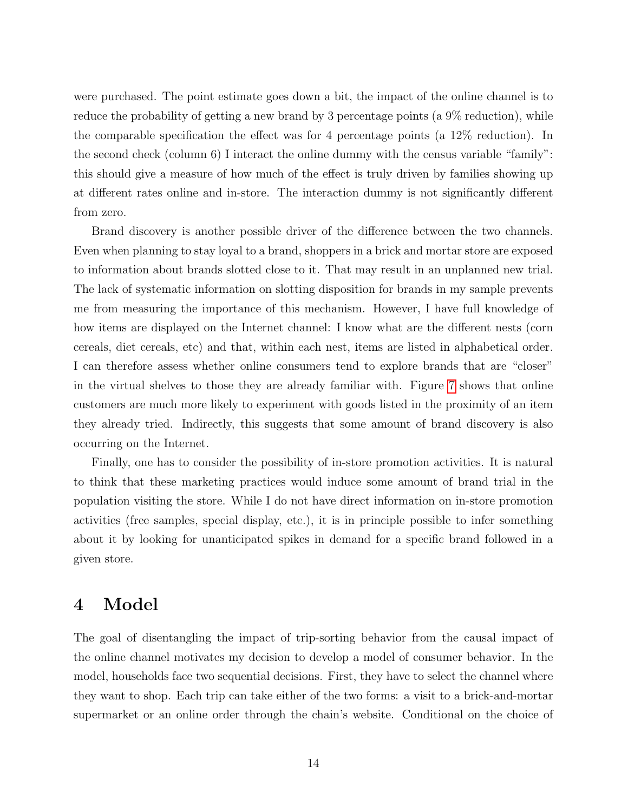were purchased. The point estimate goes down a bit, the impact of the online channel is to reduce the probability of getting a new brand by 3 percentage points (a 9% reduction), while the comparable specification the effect was for 4 percentage points (a 12% reduction). In the second check (column 6) I interact the online dummy with the census variable "family": this should give a measure of how much of the effect is truly driven by families showing up at different rates online and in-store. The interaction dummy is not significantly different from zero.

Brand discovery is another possible driver of the difference between the two channels. Even when planning to stay loyal to a brand, shoppers in a brick and mortar store are exposed to information about brands slotted close to it. That may result in an unplanned new trial. The lack of systematic information on slotting disposition for brands in my sample prevents me from measuring the importance of this mechanism. However, I have full knowledge of how items are displayed on the Internet channel: I know what are the different nests (corn cereals, diet cereals, etc) and that, within each nest, items are listed in alphabetical order. I can therefore assess whether online consumers tend to explore brands that are "closer" in the virtual shelves to those they are already familiar with. Figure [7](#page-50-0) shows that online customers are much more likely to experiment with goods listed in the proximity of an item they already tried. Indirectly, this suggests that some amount of brand discovery is also occurring on the Internet.

Finally, one has to consider the possibility of in-store promotion activities. It is natural to think that these marketing practices would induce some amount of brand trial in the population visiting the store. While I do not have direct information on in-store promotion activities (free samples, special display, etc.), it is in principle possible to infer something about it by looking for unanticipated spikes in demand for a specific brand followed in a given store.

### <span id="page-14-0"></span>4 Model

The goal of disentangling the impact of trip-sorting behavior from the causal impact of the online channel motivates my decision to develop a model of consumer behavior. In the model, households face two sequential decisions. First, they have to select the channel where they want to shop. Each trip can take either of the two forms: a visit to a brick-and-mortar supermarket or an online order through the chain's website. Conditional on the choice of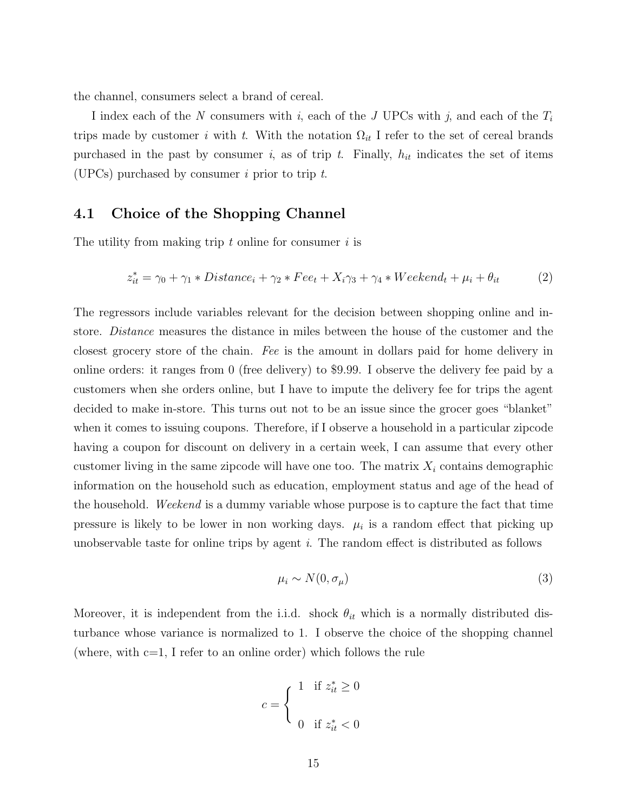the channel, consumers select a brand of cereal.

I index each of the N consumers with i, each of the J UPCs with j, and each of the  $T_i$ trips made by customer i with t. With the notation  $\Omega_{it}$  I refer to the set of cereal brands purchased in the past by consumer i, as of trip t. Finally,  $h_{it}$  indicates the set of items (UPCs) purchased by consumer i prior to trip  $t$ .

### 4.1 Choice of the Shopping Channel

The utility from making trip  $t$  online for consumer  $i$  is

<span id="page-15-0"></span>
$$
z_{it}^* = \gamma_0 + \gamma_1 * Distance_i + \gamma_2 * Free_t + X_i\gamma_3 + \gamma_4 * Weekend_t + \mu_i + \theta_{it}
$$
 (2)

The regressors include variables relevant for the decision between shopping online and instore. Distance measures the distance in miles between the house of the customer and the closest grocery store of the chain. Fee is the amount in dollars paid for home delivery in online orders: it ranges from 0 (free delivery) to \$9.99. I observe the delivery fee paid by a customers when she orders online, but I have to impute the delivery fee for trips the agent decided to make in-store. This turns out not to be an issue since the grocer goes "blanket" when it comes to issuing coupons. Therefore, if I observe a household in a particular zipcode having a coupon for discount on delivery in a certain week, I can assume that every other customer living in the same zipcode will have one too. The matrix  $X_i$  contains demographic information on the household such as education, employment status and age of the head of the household. Weekend is a dummy variable whose purpose is to capture the fact that time pressure is likely to be lower in non working days.  $\mu_i$  is a random effect that picking up unobservable taste for online trips by agent i. The random effect is distributed as follows

$$
\mu_i \sim N(0, \sigma_\mu) \tag{3}
$$

Moreover, it is independent from the i.i.d. shock  $\theta_{it}$  which is a normally distributed disturbance whose variance is normalized to 1. I observe the choice of the shopping channel (where, with  $c=1$ , I refer to an online order) which follows the rule

$$
c = \begin{cases} 1 & \text{if } z_{it}^* \ge 0 \\ 0 & \text{if } z_{it}^* < 0 \end{cases}
$$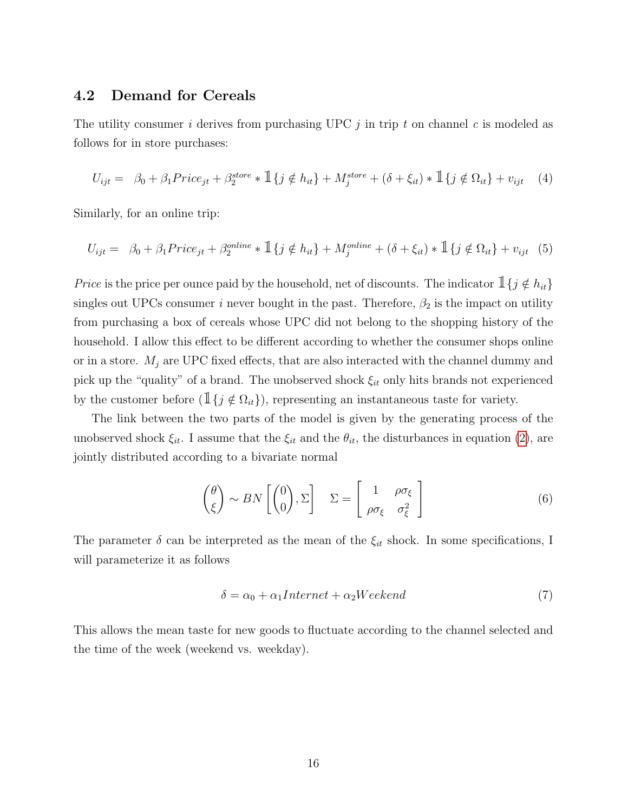### 4.2 Demand for Cereals

The utility consumer i derives from purchasing UPC  $j$  in trip t on channel  $c$  is modeled as follows for in store purchases:

<span id="page-16-2"></span>
$$
U_{ijt} = \beta_0 + \beta_1 Price_{jt} + \beta_2^{store} * \mathbb{1}\{j \notin h_{it}\} + M_j^{store} + (\delta + \xi_{it}) * \mathbb{1}\{j \notin \Omega_{it}\} + v_{ijt} \quad (4)
$$

Similarly, for an online trip:

<span id="page-16-3"></span>
$$
U_{ijt} = \beta_0 + \beta_1 Price_{jt} + \beta_2^{online} * \mathbb{1}\{j \notin h_{it}\} + M_j^{online} + (\delta + \xi_{it}) * \mathbb{1}\{j \notin \Omega_{it}\} + v_{ijt} \quad (5)
$$

*Price* is the price per ounce paid by the household, net of discounts. The indicator  $\mathbb{1}\{j \notin h_{it}\}\$ singles out UPCs consumer i never bought in the past. Therefore,  $\beta_2$  is the impact on utility from purchasing a box of cereals whose UPC did not belong to the shopping history of the household. I allow this effect to be different according to whether the consumer shops online or in a store.  $M_i$  are UPC fixed effects, that are also interacted with the channel dummy and pick up the "quality" of a brand. The unobserved shock  $\xi_{it}$  only hits brands not experienced by the customer before  $(\mathbb{1}{j \notin \Omega_{it}})$ , representing an instantaneous taste for variety.

The link between the two parts of the model is given by the generating process of the unobserved shock  $\xi_{it}$ . I assume that the  $\xi_{it}$  and the  $\theta_{it}$ , the disturbances in equation [\(2\)](#page-15-0), are jointly distributed according to a bivariate normal

<span id="page-16-0"></span>
$$
\begin{pmatrix} \theta \\ \xi \end{pmatrix} \sim BN \begin{bmatrix} 0 \\ 0 \end{bmatrix}, \Sigma \end{bmatrix} \quad \Sigma = \begin{bmatrix} 1 & \rho \sigma_{\xi} \\ \rho \sigma_{\xi} & \sigma_{\xi}^{2} \end{bmatrix}
$$
 (6)

The parameter  $\delta$  can be interpreted as the mean of the  $\xi_{it}$  shock. In some specifications, I will parameterize it as follows

<span id="page-16-1"></span>
$$
\delta = \alpha_0 + \alpha_1 Internet + \alpha_2 Weekend \tag{7}
$$

This allows the mean taste for new goods to fluctuate according to the channel selected and the time of the week (weekend vs. weekday).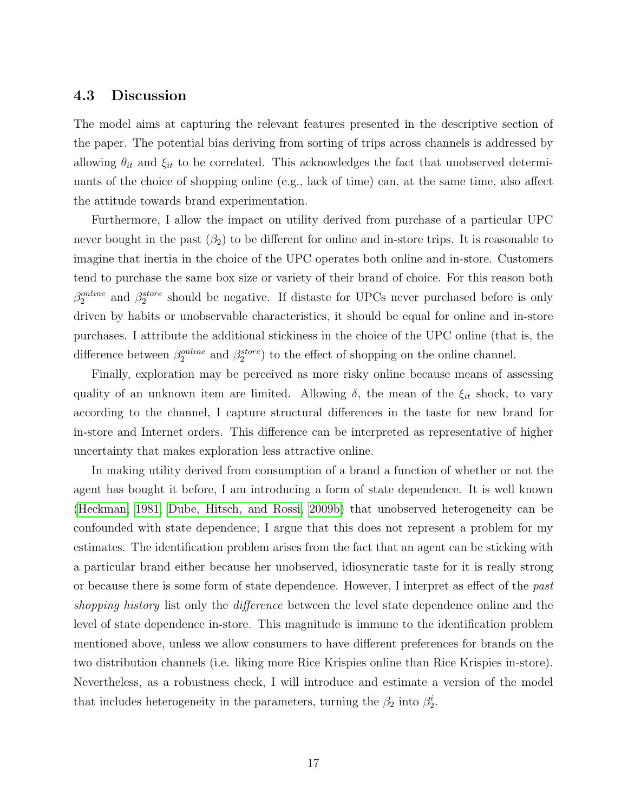### 4.3 Discussion

The model aims at capturing the relevant features presented in the descriptive section of the paper. The potential bias deriving from sorting of trips across channels is addressed by allowing  $\theta_{it}$  and  $\xi_{it}$  to be correlated. This acknowledges the fact that unobserved determinants of the choice of shopping online (e.g., lack of time) can, at the same time, also affect the attitude towards brand experimentation.

Furthermore, I allow the impact on utility derived from purchase of a particular UPC never bought in the past  $(\beta_2)$  to be different for online and in-store trips. It is reasonable to imagine that inertia in the choice of the UPC operates both online and in-store. Customers tend to purchase the same box size or variety of their brand of choice. For this reason both  $\beta_2^{online}$  and  $\beta_2^{store}$  should be negative. If distaste for UPCs never purchased before is only driven by habits or unobservable characteristics, it should be equal for online and in-store purchases. I attribute the additional stickiness in the choice of the UPC online (that is, the difference between  $\beta_2^{online}$  and  $\beta_2^{store}$  to the effect of shopping on the online channel.

Finally, exploration may be perceived as more risky online because means of assessing quality of an unknown item are limited. Allowing  $\delta$ , the mean of the  $\xi_{it}$  shock, to vary according to the channel, I capture structural differences in the taste for new brand for in-store and Internet orders. This difference can be interpreted as representative of higher uncertainty that makes exploration less attractive online.

In making utility derived from consumption of a brand a function of whether or not the agent has bought it before, I am introducing a form of state dependence. It is well known [\(Heckman, 1981;](#page-30-9) [Dube, Hitsch, and Rossi, 2009b\)](#page-29-9) that unobserved heterogeneity can be confounded with state dependence; I argue that this does not represent a problem for my estimates. The identification problem arises from the fact that an agent can be sticking with a particular brand either because her unobserved, idiosyncratic taste for it is really strong or because there is some form of state dependence. However, I interpret as effect of the past shopping history list only the *difference* between the level state dependence online and the level of state dependence in-store. This magnitude is immune to the identification problem mentioned above, unless we allow consumers to have different preferences for brands on the two distribution channels (i.e. liking more Rice Krispies online than Rice Krispies in-store). Nevertheless, as a robustness check, I will introduce and estimate a version of the model that includes heterogeneity in the parameters, turning the  $\beta_2$  into  $\beta_2^i$ .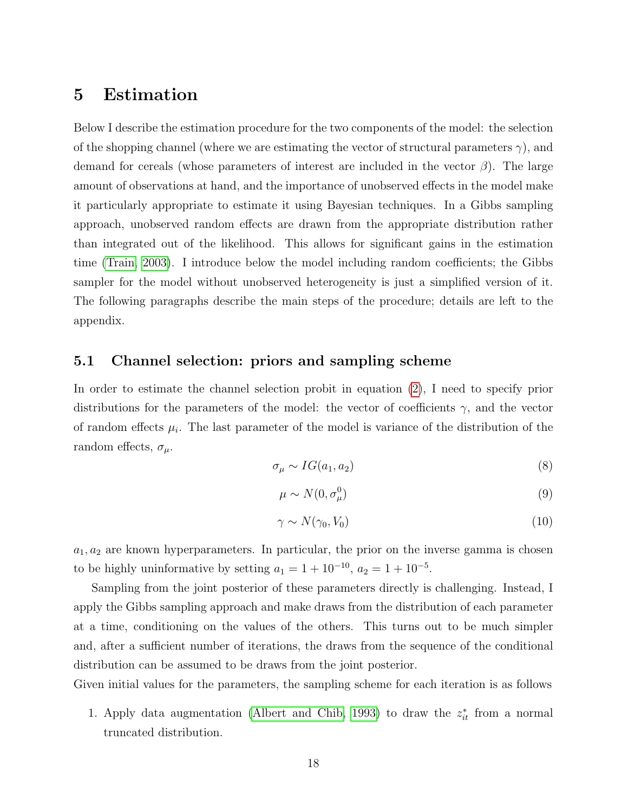### <span id="page-18-0"></span>5 Estimation

Below I describe the estimation procedure for the two components of the model: the selection of the shopping channel (where we are estimating the vector of structural parameters  $\gamma$ ), and demand for cereals (whose parameters of interest are included in the vector  $\beta$ ). The large amount of observations at hand, and the importance of unobserved effects in the model make it particularly appropriate to estimate it using Bayesian techniques. In a Gibbs sampling approach, unobserved random effects are drawn from the appropriate distribution rather than integrated out of the likelihood. This allows for significant gains in the estimation time [\(Train, 2003\)](#page-31-7). I introduce below the model including random coefficients; the Gibbs sampler for the model without unobserved heterogeneity is just a simplified version of it. The following paragraphs describe the main steps of the procedure; details are left to the appendix.

### 5.1 Channel selection: priors and sampling scheme

In order to estimate the channel selection probit in equation [\(2\)](#page-15-0), I need to specify prior distributions for the parameters of the model: the vector of coefficients  $\gamma$ , and the vector of random effects  $\mu_i$ . The last parameter of the model is variance of the distribution of the random effects,  $\sigma_{\mu}$ .

$$
\sigma_{\mu} \sim IG(a_1, a_2) \tag{8}
$$

$$
\mu \sim N(0, \sigma^0_\mu) \tag{9}
$$

$$
\gamma \sim N(\gamma_0, V_0) \tag{10}
$$

 $a_1, a_2$  are known hyperparameters. In particular, the prior on the inverse gamma is chosen to be highly uninformative by setting  $a_1 = 1 + 10^{-10}$ ,  $a_2 = 1 + 10^{-5}$ .

Sampling from the joint posterior of these parameters directly is challenging. Instead, I apply the Gibbs sampling approach and make draws from the distribution of each parameter at a time, conditioning on the values of the others. This turns out to be much simpler and, after a sufficient number of iterations, the draws from the sequence of the conditional distribution can be assumed to be draws from the joint posterior.

Given initial values for the parameters, the sampling scheme for each iteration is as follows

1. Apply data augmentation [\(Albert and Chib, 1993\)](#page-28-10) to draw the  $z_{it}^*$  from a normal truncated distribution.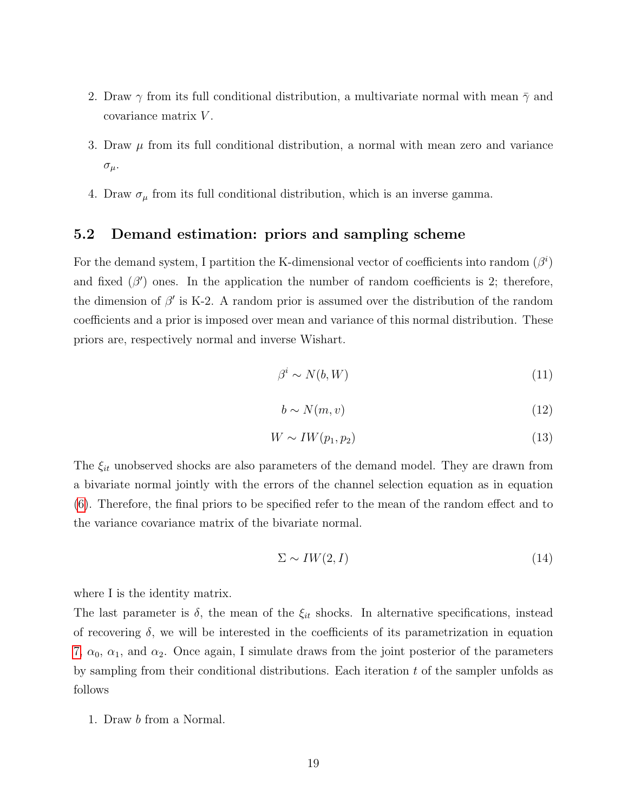- 2. Draw  $\gamma$  from its full conditional distribution, a multivariate normal with mean  $\bar{\gamma}$  and covariance matrix V .
- 3. Draw  $\mu$  from its full conditional distribution, a normal with mean zero and variance  $\sigma_{\mu}$ .
- 4. Draw  $\sigma_{\mu}$  from its full conditional distribution, which is an inverse gamma.

#### 5.2 Demand estimation: priors and sampling scheme

For the demand system, I partition the K-dimensional vector of coefficients into random  $(\beta^i)$ and fixed  $(\beta')$  ones. In the application the number of random coefficients is 2; therefore, the dimension of  $\beta'$  is K-2. A random prior is assumed over the distribution of the random coefficients and a prior is imposed over mean and variance of this normal distribution. These priors are, respectively normal and inverse Wishart.

$$
\beta^i \sim N(b, W) \tag{11}
$$

$$
b \sim N(m, v) \tag{12}
$$

$$
W \sim IW(p_1, p_2) \tag{13}
$$

The  $\xi_{it}$  unobserved shocks are also parameters of the demand model. They are drawn from a bivariate normal jointly with the errors of the channel selection equation as in equation [\(6\)](#page-16-0). Therefore, the final priors to be specified refer to the mean of the random effect and to the variance covariance matrix of the bivariate normal.

$$
\Sigma \sim IW(2, I) \tag{14}
$$

where I is the identity matrix.

The last parameter is  $\delta$ , the mean of the  $\xi_{it}$  shocks. In alternative specifications, instead of recovering  $\delta$ , we will be interested in the coefficients of its parametrization in equation [7,](#page-16-1)  $\alpha_0$ ,  $\alpha_1$ , and  $\alpha_2$ . Once again, I simulate draws from the joint posterior of the parameters by sampling from their conditional distributions. Each iteration  $t$  of the sampler unfolds as follows

1. Draw b from a Normal.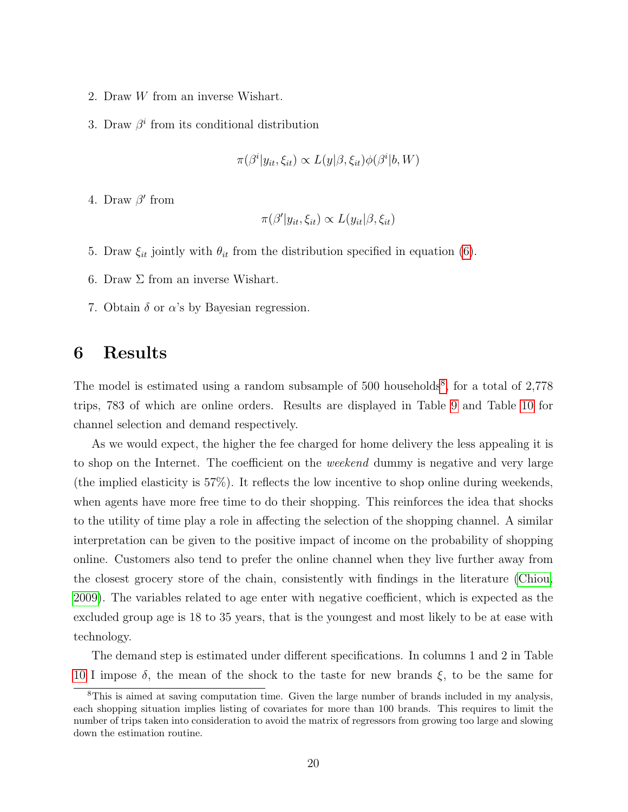- 2. Draw W from an inverse Wishart.
- 3. Draw  $\beta^i$  from its conditional distribution

$$
\pi(\beta^i|y_{it}, \xi_{it}) \propto L(y|\beta, \xi_{it})\phi(\beta^i|b, W)
$$

4. Draw  $\beta'$  from

$$
\pi(\beta'|y_{it}, \xi_{it}) \propto L(y_{it}|\beta, \xi_{it})
$$

- 5. Draw  $\xi_{it}$  jointly with  $\theta_{it}$  from the distribution specified in equation [\(6\)](#page-16-0).
- 6. Draw  $\Sigma$  from an inverse Wishart.
- 7. Obtain  $\delta$  or  $\alpha$ 's by Bayesian regression.

### <span id="page-20-0"></span>6 Results

The model is estimated using a random subsample of  $500$  households<sup>[8](#page-1-0)</sup>, for a total of  $2,778$ trips, 783 of which are online orders. Results are displayed in Table [9](#page-44-0) and Table [10](#page-45-0) for channel selection and demand respectively.

As we would expect, the higher the fee charged for home delivery the less appealing it is to shop on the Internet. The coefficient on the weekend dummy is negative and very large (the implied elasticity is 57%). It reflects the low incentive to shop online during weekends, when agents have more free time to do their shopping. This reinforces the idea that shocks to the utility of time play a role in affecting the selection of the shopping channel. A similar interpretation can be given to the positive impact of income on the probability of shopping online. Customers also tend to prefer the online channel when they live further away from the closest grocery store of the chain, consistently with findings in the literature [\(Chiou,](#page-29-10) [2009\)](#page-29-10). The variables related to age enter with negative coefficient, which is expected as the excluded group age is 18 to 35 years, that is the youngest and most likely to be at ease with technology.

The demand step is estimated under different specifications. In columns 1 and 2 in Table [10](#page-45-0) I impose  $\delta$ , the mean of the shock to the taste for new brands  $\xi$ , to be the same for

<sup>&</sup>lt;sup>8</sup>This is aimed at saving computation time. Given the large number of brands included in my analysis, each shopping situation implies listing of covariates for more than 100 brands. This requires to limit the number of trips taken into consideration to avoid the matrix of regressors from growing too large and slowing down the estimation routine.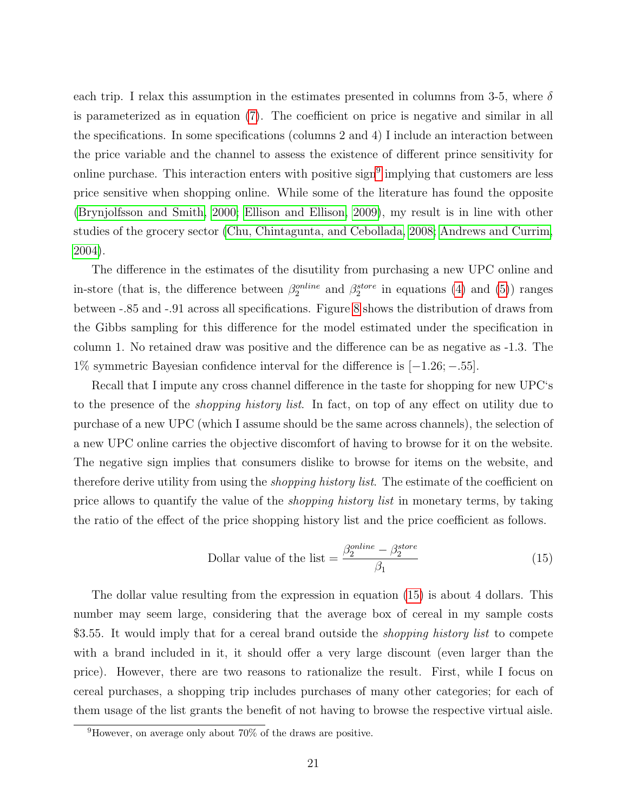each trip. I relax this assumption in the estimates presented in columns from 3-5, where  $\delta$ is parameterized as in equation [\(7\)](#page-16-1). The coefficient on price is negative and similar in all the specifications. In some specifications (columns 2 and 4) I include an interaction between the price variable and the channel to assess the existence of different prince sensitivity for online purchase. This interaction enters with positive sign<sup>[9](#page-1-0)</sup> implying that customers are less price sensitive when shopping online. While some of the literature has found the opposite [\(Brynjolfsson and Smith, 2000;](#page-28-3) [Ellison and Ellison, 2009\)](#page-30-2), my result is in line with other studies of the grocery sector [\(Chu, Chintagunta, and Cebollada, 2008;](#page-29-2) [Andrews and Currim,](#page-28-5) [2004\)](#page-28-5).

The difference in the estimates of the disutility from purchasing a new UPC online and in-store (that is, the difference between  $\beta_2^{online}$  and  $\beta_2^{store}$  in equations [\(4\)](#page-16-2) and [\(5\)](#page-16-3)) ranges between -.85 and -.91 across all specifications. Figure [8](#page-51-0) shows the distribution of draws from the Gibbs sampling for this difference for the model estimated under the specification in column 1. No retained draw was positive and the difference can be as negative as -1.3. The 1% symmetric Bayesian confidence interval for the difference is [−1.26; −.55].

Recall that I impute any cross channel difference in the taste for shopping for new UPC's to the presence of the shopping history list. In fact, on top of any effect on utility due to purchase of a new UPC (which I assume should be the same across channels), the selection of a new UPC online carries the objective discomfort of having to browse for it on the website. The negative sign implies that consumers dislike to browse for items on the website, and therefore derive utility from using the *shopping history list*. The estimate of the coefficient on price allows to quantify the value of the *shopping history list* in monetary terms, by taking the ratio of the effect of the price shopping history list and the price coefficient as follows.

<span id="page-21-0"></span>Dollar value of the list = 
$$
\frac{\beta_2^{online} - \beta_2^{store}}{\beta_1}
$$
 (15)

The dollar value resulting from the expression in equation [\(15\)](#page-21-0) is about 4 dollars. This number may seem large, considering that the average box of cereal in my sample costs \$3.55. It would imply that for a cereal brand outside the *shopping history list* to compete with a brand included in it, it should offer a very large discount (even larger than the price). However, there are two reasons to rationalize the result. First, while I focus on cereal purchases, a shopping trip includes purchases of many other categories; for each of them usage of the list grants the benefit of not having to browse the respective virtual aisle.

<sup>9</sup>However, on average only about 70% of the draws are positive.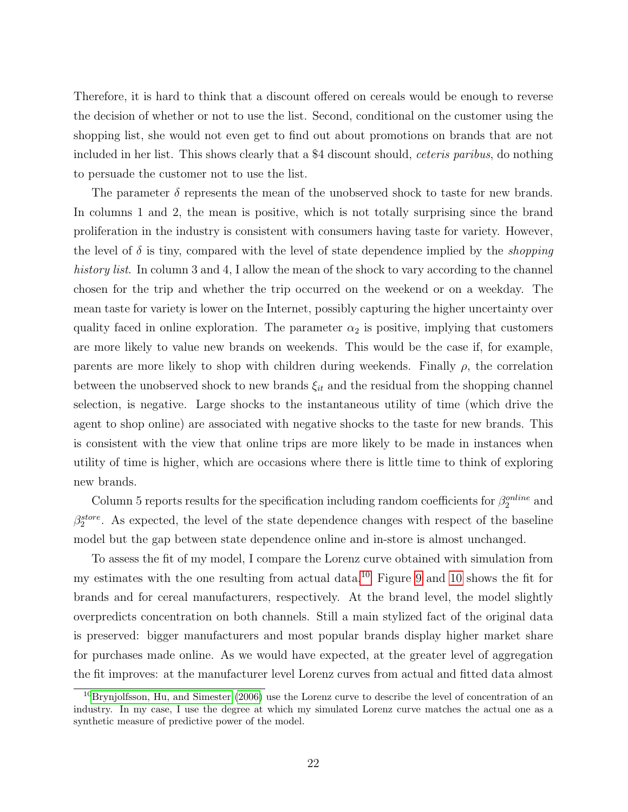Therefore, it is hard to think that a discount offered on cereals would be enough to reverse the decision of whether or not to use the list. Second, conditional on the customer using the shopping list, she would not even get to find out about promotions on brands that are not included in her list. This shows clearly that a \$4 discount should, ceteris paribus, do nothing to persuade the customer not to use the list.

The parameter  $\delta$  represents the mean of the unobserved shock to taste for new brands. In columns 1 and 2, the mean is positive, which is not totally surprising since the brand proliferation in the industry is consistent with consumers having taste for variety. However, the level of  $\delta$  is tiny, compared with the level of state dependence implied by the *shopping* history list. In column 3 and 4, I allow the mean of the shock to vary according to the channel chosen for the trip and whether the trip occurred on the weekend or on a weekday. The mean taste for variety is lower on the Internet, possibly capturing the higher uncertainty over quality faced in online exploration. The parameter  $\alpha_2$  is positive, implying that customers are more likely to value new brands on weekends. This would be the case if, for example, parents are more likely to shop with children during weekends. Finally  $\rho$ , the correlation between the unobserved shock to new brands  $\xi_{it}$  and the residual from the shopping channel selection, is negative. Large shocks to the instantaneous utility of time (which drive the agent to shop online) are associated with negative shocks to the taste for new brands. This is consistent with the view that online trips are more likely to be made in instances when utility of time is higher, which are occasions where there is little time to think of exploring new brands.

Column 5 reports results for the specification including random coefficients for  $\beta_2^{online}$  and  $\beta_2^{store}$ . As expected, the level of the state dependence changes with respect of the baseline model but the gap between state dependence online and in-store is almost unchanged.

To assess the fit of my model, I compare the Lorenz curve obtained with simulation from my estimates with the one resulting from actual data.[10](#page-1-0) Figure [9](#page-52-0) and [10](#page-53-0) shows the fit for brands and for cereal manufacturers, respectively. At the brand level, the model slightly overpredicts concentration on both channels. Still a main stylized fact of the original data is preserved: bigger manufacturers and most popular brands display higher market share for purchases made online. As we would have expected, at the greater level of aggregation the fit improves: at the manufacturer level Lorenz curves from actual and fitted data almost

<sup>&</sup>lt;sup>10</sup>[Brynjolfsson, Hu, and Simester](#page-28-6) [\(2006\)](#page-28-6) use the Lorenz curve to describe the level of concentration of an industry. In my case, I use the degree at which my simulated Lorenz curve matches the actual one as a synthetic measure of predictive power of the model.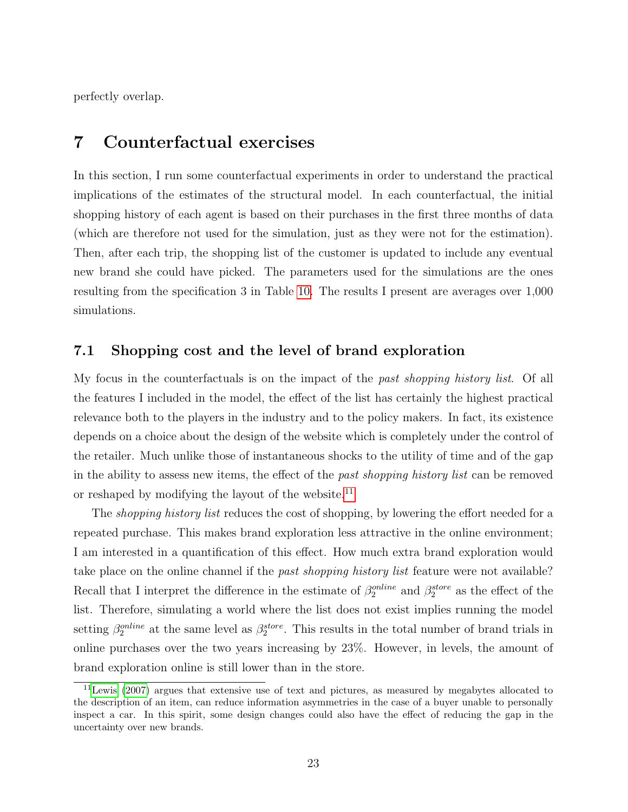perfectly overlap.

### <span id="page-23-0"></span>7 Counterfactual exercises

In this section, I run some counterfactual experiments in order to understand the practical implications of the estimates of the structural model. In each counterfactual, the initial shopping history of each agent is based on their purchases in the first three months of data (which are therefore not used for the simulation, just as they were not for the estimation). Then, after each trip, the shopping list of the customer is updated to include any eventual new brand she could have picked. The parameters used for the simulations are the ones resulting from the specification 3 in Table [10.](#page-45-0) The results I present are averages over 1,000 simulations.

### 7.1 Shopping cost and the level of brand exploration

My focus in the counterfactuals is on the impact of the past shopping history list. Of all the features I included in the model, the effect of the list has certainly the highest practical relevance both to the players in the industry and to the policy makers. In fact, its existence depends on a choice about the design of the website which is completely under the control of the retailer. Much unlike those of instantaneous shocks to the utility of time and of the gap in the ability to assess new items, the effect of the *past shopping history list* can be removed or reshaped by modifying the layout of the website. $^{11}$  $^{11}$  $^{11}$ 

The *shopping history list* reduces the cost of shopping, by lowering the effort needed for a repeated purchase. This makes brand exploration less attractive in the online environment; I am interested in a quantification of this effect. How much extra brand exploration would take place on the online channel if the *past shopping history list* feature were not available? Recall that I interpret the difference in the estimate of  $\beta_2^{online}$  and  $\beta_2^{store}$  as the effect of the list. Therefore, simulating a world where the list does not exist implies running the model setting  $\beta_2^{online}$  at the same level as  $\beta_2^{store}$ . This results in the total number of brand trials in online purchases over the two years increasing by 23%. However, in levels, the amount of brand exploration online is still lower than in the store.

 $11$ [Lewis](#page-30-10) [\(2007\)](#page-30-10) argues that extensive use of text and pictures, as measured by megabytes allocated to the description of an item, can reduce information asymmetries in the case of a buyer unable to personally inspect a car. In this spirit, some design changes could also have the effect of reducing the gap in the uncertainty over new brands.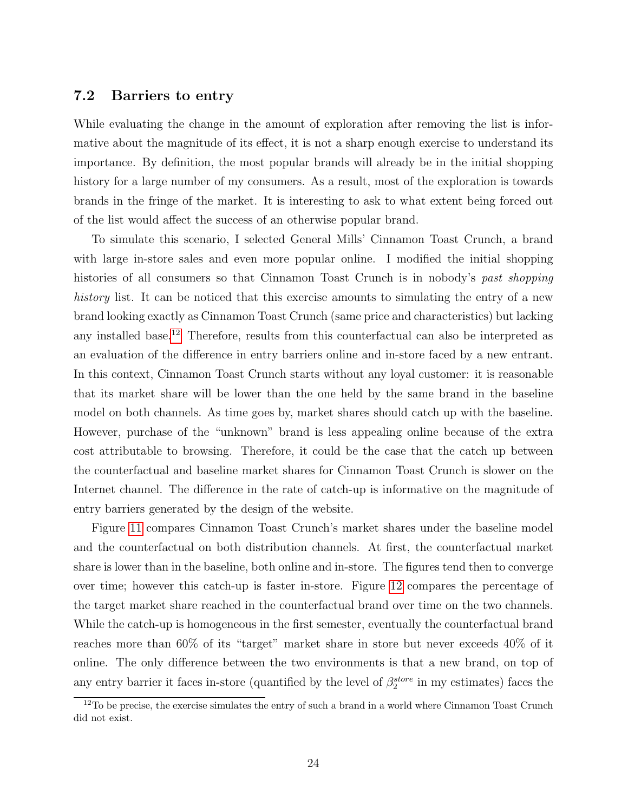### 7.2 Barriers to entry

While evaluating the change in the amount of exploration after removing the list is informative about the magnitude of its effect, it is not a sharp enough exercise to understand its importance. By definition, the most popular brands will already be in the initial shopping history for a large number of my consumers. As a result, most of the exploration is towards brands in the fringe of the market. It is interesting to ask to what extent being forced out of the list would affect the success of an otherwise popular brand.

To simulate this scenario, I selected General Mills' Cinnamon Toast Crunch, a brand with large in-store sales and even more popular online. I modified the initial shopping histories of all consumers so that Cinnamon Toast Crunch is in nobody's past shopping history list. It can be noticed that this exercise amounts to simulating the entry of a new brand looking exactly as Cinnamon Toast Crunch (same price and characteristics) but lacking any installed base.[12](#page-1-0) Therefore, results from this counterfactual can also be interpreted as an evaluation of the difference in entry barriers online and in-store faced by a new entrant. In this context, Cinnamon Toast Crunch starts without any loyal customer: it is reasonable that its market share will be lower than the one held by the same brand in the baseline model on both channels. As time goes by, market shares should catch up with the baseline. However, purchase of the "unknown" brand is less appealing online because of the extra cost attributable to browsing. Therefore, it could be the case that the catch up between the counterfactual and baseline market shares for Cinnamon Toast Crunch is slower on the Internet channel. The difference in the rate of catch-up is informative on the magnitude of entry barriers generated by the design of the website.

Figure [11](#page-54-0) compares Cinnamon Toast Crunch's market shares under the baseline model and the counterfactual on both distribution channels. At first, the counterfactual market share is lower than in the baseline, both online and in-store. The figures tend then to converge over time; however this catch-up is faster in-store. Figure [12](#page-55-0) compares the percentage of the target market share reached in the counterfactual brand over time on the two channels. While the catch-up is homogeneous in the first semester, eventually the counterfactual brand reaches more than 60% of its "target" market share in store but never exceeds 40% of it online. The only difference between the two environments is that a new brand, on top of any entry barrier it faces in-store (quantified by the level of  $\beta_2^{store}$  in my estimates) faces the

 $12$ To be precise, the exercise simulates the entry of such a brand in a world where Cinnamon Toast Crunch did not exist.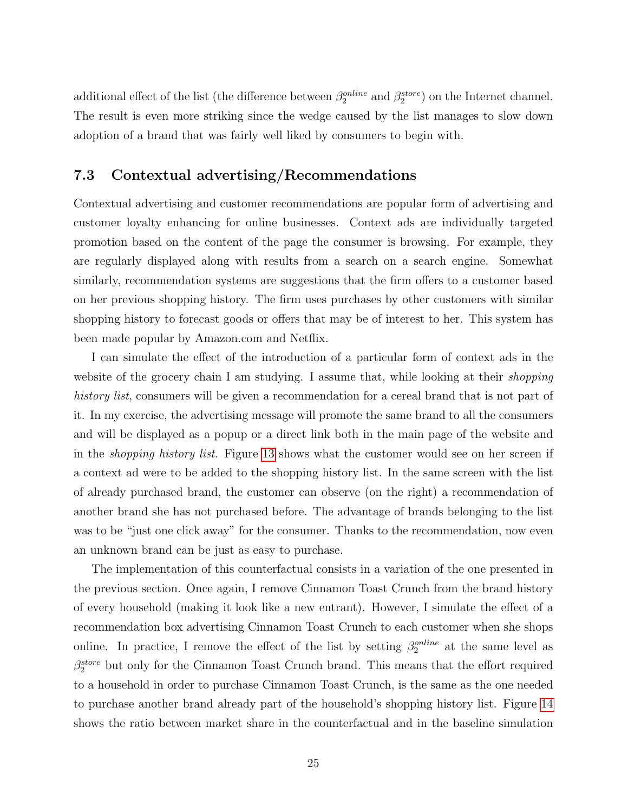additional effect of the list (the difference between  $\beta_2^{online}$  and  $\beta_2^{store}$ ) on the Internet channel. The result is even more striking since the wedge caused by the list manages to slow down adoption of a brand that was fairly well liked by consumers to begin with.

#### 7.3 Contextual advertising/Recommendations

Contextual advertising and customer recommendations are popular form of advertising and customer loyalty enhancing for online businesses. Context ads are individually targeted promotion based on the content of the page the consumer is browsing. For example, they are regularly displayed along with results from a search on a search engine. Somewhat similarly, recommendation systems are suggestions that the firm offers to a customer based on her previous shopping history. The firm uses purchases by other customers with similar shopping history to forecast goods or offers that may be of interest to her. This system has been made popular by Amazon.com and Netflix.

I can simulate the effect of the introduction of a particular form of context ads in the website of the grocery chain I am studying. I assume that, while looking at their *shopping* history list, consumers will be given a recommendation for a cereal brand that is not part of it. In my exercise, the advertising message will promote the same brand to all the consumers and will be displayed as a popup or a direct link both in the main page of the website and in the shopping history list. Figure [13](#page-55-1) shows what the customer would see on her screen if a context ad were to be added to the shopping history list. In the same screen with the list of already purchased brand, the customer can observe (on the right) a recommendation of another brand she has not purchased before. The advantage of brands belonging to the list was to be "just one click away" for the consumer. Thanks to the recommendation, now even an unknown brand can be just as easy to purchase.

The implementation of this counterfactual consists in a variation of the one presented in the previous section. Once again, I remove Cinnamon Toast Crunch from the brand history of every household (making it look like a new entrant). However, I simulate the effect of a recommendation box advertising Cinnamon Toast Crunch to each customer when she shops online. In practice, I remove the effect of the list by setting  $\beta_2^{online}$  at the same level as  $\beta_2^{store}$  but only for the Cinnamon Toast Crunch brand. This means that the effort required to a household in order to purchase Cinnamon Toast Crunch, is the same as the one needed to purchase another brand already part of the household's shopping history list. Figure [14](#page-56-0) shows the ratio between market share in the counterfactual and in the baseline simulation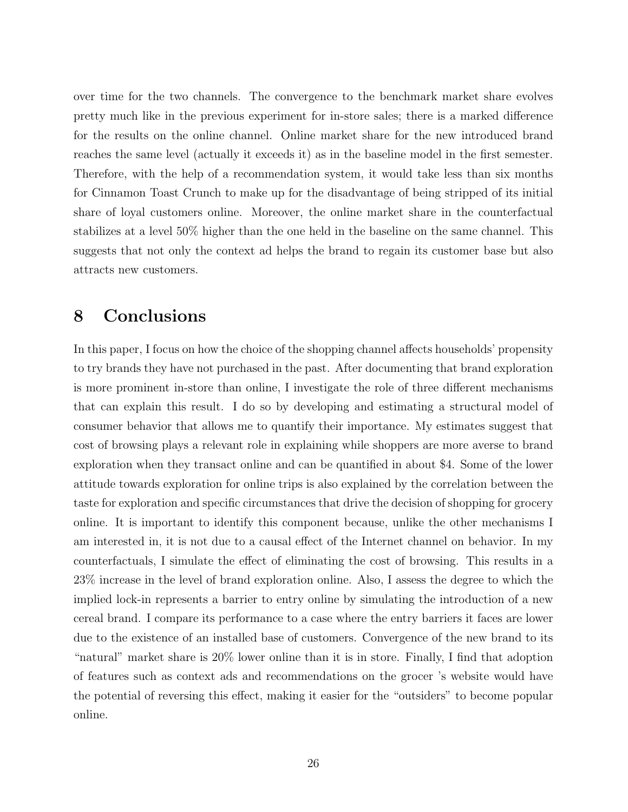over time for the two channels. The convergence to the benchmark market share evolves pretty much like in the previous experiment for in-store sales; there is a marked difference for the results on the online channel. Online market share for the new introduced brand reaches the same level (actually it exceeds it) as in the baseline model in the first semester. Therefore, with the help of a recommendation system, it would take less than six months for Cinnamon Toast Crunch to make up for the disadvantage of being stripped of its initial share of loyal customers online. Moreover, the online market share in the counterfactual stabilizes at a level 50% higher than the one held in the baseline on the same channel. This suggests that not only the context ad helps the brand to regain its customer base but also attracts new customers.

### <span id="page-26-0"></span>8 Conclusions

In this paper, I focus on how the choice of the shopping channel affects households' propensity to try brands they have not purchased in the past. After documenting that brand exploration is more prominent in-store than online, I investigate the role of three different mechanisms that can explain this result. I do so by developing and estimating a structural model of consumer behavior that allows me to quantify their importance. My estimates suggest that cost of browsing plays a relevant role in explaining while shoppers are more averse to brand exploration when they transact online and can be quantified in about \$4. Some of the lower attitude towards exploration for online trips is also explained by the correlation between the taste for exploration and specific circumstances that drive the decision of shopping for grocery online. It is important to identify this component because, unlike the other mechanisms I am interested in, it is not due to a causal effect of the Internet channel on behavior. In my counterfactuals, I simulate the effect of eliminating the cost of browsing. This results in a 23% increase in the level of brand exploration online. Also, I assess the degree to which the implied lock-in represents a barrier to entry online by simulating the introduction of a new cereal brand. I compare its performance to a case where the entry barriers it faces are lower due to the existence of an installed base of customers. Convergence of the new brand to its "natural" market share is 20% lower online than it is in store. Finally, I find that adoption of features such as context ads and recommendations on the grocer 's website would have the potential of reversing this effect, making it easier for the "outsiders" to become popular online.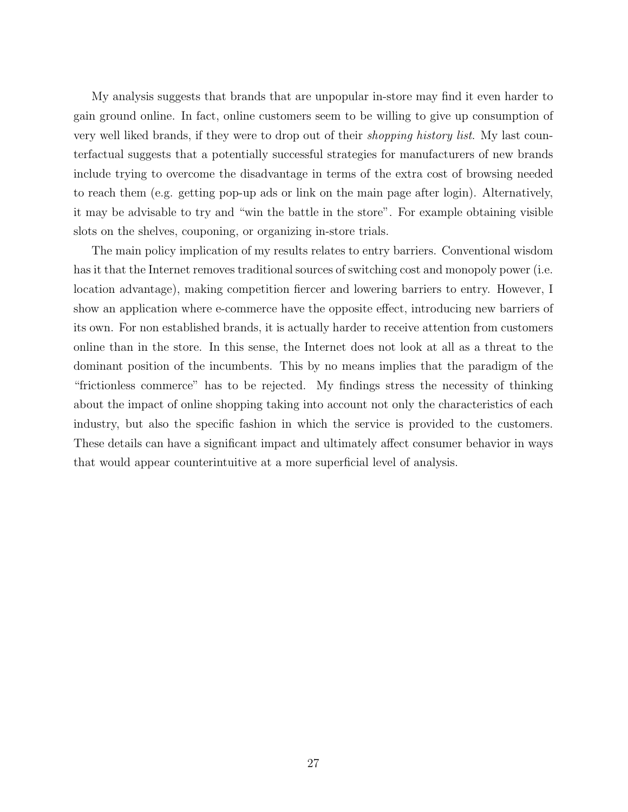My analysis suggests that brands that are unpopular in-store may find it even harder to gain ground online. In fact, online customers seem to be willing to give up consumption of very well liked brands, if they were to drop out of their *shopping history list*. My last counterfactual suggests that a potentially successful strategies for manufacturers of new brands include trying to overcome the disadvantage in terms of the extra cost of browsing needed to reach them (e.g. getting pop-up ads or link on the main page after login). Alternatively, it may be advisable to try and "win the battle in the store". For example obtaining visible slots on the shelves, couponing, or organizing in-store trials.

The main policy implication of my results relates to entry barriers. Conventional wisdom has it that the Internet removes traditional sources of switching cost and monopoly power (i.e. location advantage), making competition fiercer and lowering barriers to entry. However, I show an application where e-commerce have the opposite effect, introducing new barriers of its own. For non established brands, it is actually harder to receive attention from customers online than in the store. In this sense, the Internet does not look at all as a threat to the dominant position of the incumbents. This by no means implies that the paradigm of the "frictionless commerce" has to be rejected. My findings stress the necessity of thinking about the impact of online shopping taking into account not only the characteristics of each industry, but also the specific fashion in which the service is provided to the customers. These details can have a significant impact and ultimately affect consumer behavior in ways that would appear counterintuitive at a more superficial level of analysis.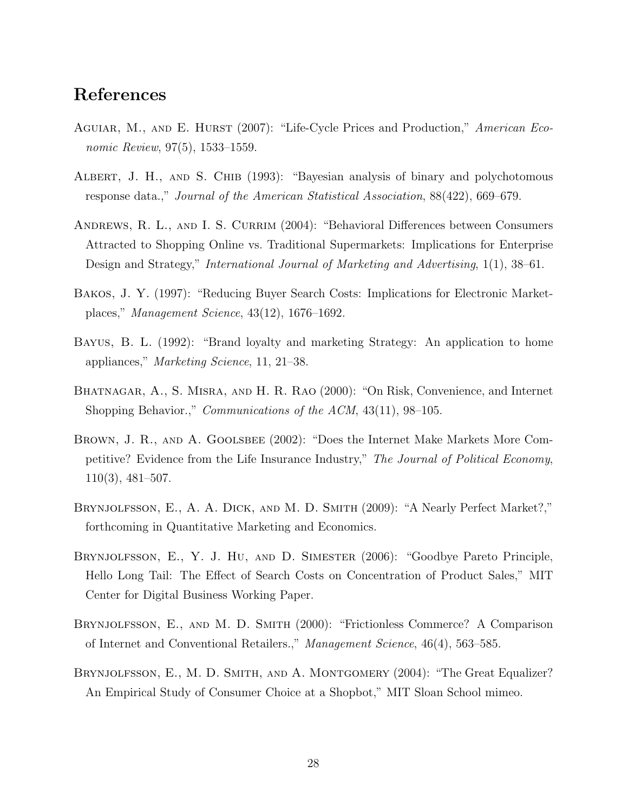### References

- <span id="page-28-9"></span>AGUIAR, M., AND E. HURST (2007): "Life-Cycle Prices and Production," American Economic Review, 97(5), 1533–1559.
- <span id="page-28-10"></span>Albert, J. H., and S. Chib (1993): "Bayesian analysis of binary and polychotomous response data.," Journal of the American Statistical Association, 88(422), 669–679.
- <span id="page-28-5"></span>ANDREWS, R. L., AND I. S. CURRIM (2004): "Behavioral Differences between Consumers Attracted to Shopping Online vs. Traditional Supermarkets: Implications for Enterprise Design and Strategy," International Journal of Marketing and Advertising, 1(1), 38–61.
- <span id="page-28-2"></span>Bakos, J. Y. (1997): "Reducing Buyer Search Costs: Implications for Electronic Marketplaces," Management Science, 43(12), 1676–1692.
- <span id="page-28-0"></span>Bayus, B. L. (1992): "Brand loyalty and marketing Strategy: An application to home appliances," Marketing Science, 11, 21–38.
- <span id="page-28-7"></span>Bhatnagar, A., S. Misra, and H. R. Rao (2000): "On Risk, Convenience, and Internet Shopping Behavior.," *Communications of the ACM*, 43(11), 98–105.
- <span id="page-28-4"></span>Brown, J. R., and A. Goolsbee (2002): "Does the Internet Make Markets More Competitive? Evidence from the Life Insurance Industry," The Journal of Political Economy, 110(3), 481–507.
- <span id="page-28-8"></span>Brynjolfsson, E., A. A. Dick, and M. D. Smith (2009): "A Nearly Perfect Market?," forthcoming in Quantitative Marketing and Economics.
- <span id="page-28-6"></span>Brynjolfsson, E., Y. J. Hu, and D. Simester (2006): "Goodbye Pareto Principle, Hello Long Tail: The Effect of Search Costs on Concentration of Product Sales," MIT Center for Digital Business Working Paper.
- <span id="page-28-3"></span>Brynjolfsson, E., and M. D. Smith (2000): "Frictionless Commerce? A Comparison of Internet and Conventional Retailers.," Management Science, 46(4), 563–585.
- <span id="page-28-1"></span>BRYNJOLFSSON, E., M. D. SMITH, AND A. MONTGOMERY (2004): "The Great Equalizer? An Empirical Study of Consumer Choice at a Shopbot," MIT Sloan School mimeo.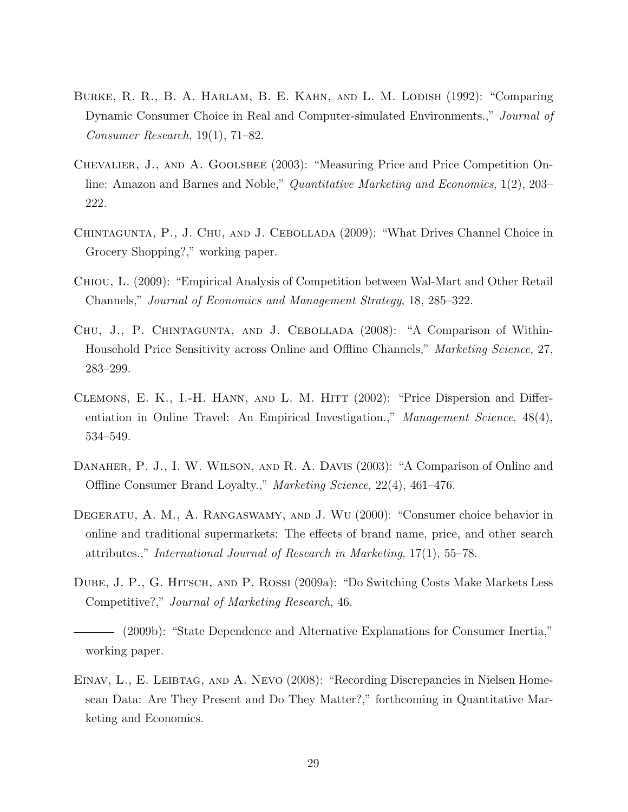- <span id="page-29-8"></span>BURKE, R. R., B. A. HARLAM, B. E. KAHN, AND L. M. LODISH (1992): "Comparing Dynamic Consumer Choice in Real and Computer-simulated Environments.," Journal of Consumer Research, 19(1), 71–82.
- <span id="page-29-0"></span>Chevalier, J., and A. Goolsbee (2003): "Measuring Price and Price Competition Online: Amazon and Barnes and Noble," Quantitative Marketing and Economics, 1(2), 203– 222.
- <span id="page-29-6"></span>Chintagunta, P., J. Chu, and J. Cebollada (2009): "What Drives Channel Choice in Grocery Shopping?," working paper.
- <span id="page-29-10"></span>Chiou, L. (2009): "Empirical Analysis of Competition between Wal-Mart and Other Retail Channels," Journal of Economics and Management Strategy, 18, 285–322.
- <span id="page-29-2"></span>Chu, J., P. Chintagunta, and J. Cebollada (2008): "A Comparison of Within-Household Price Sensitivity across Online and Offline Channels," Marketing Science, 27, 283–299.
- <span id="page-29-1"></span>Clemons, E. K., I.-H. Hann, and L. M. Hitt (2002): "Price Dispersion and Differentiation in Online Travel: An Empirical Investigation.," *Management Science*, 48(4), 534–549.
- <span id="page-29-4"></span>DANAHER, P. J., I. W. WILSON, AND R. A. DAVIS (2003): "A Comparison of Online and Offline Consumer Brand Loyalty.," Marketing Science, 22(4), 461–476.
- <span id="page-29-3"></span>Degeratu, A. M., A. Rangaswamy, and J. Wu (2000): "Consumer choice behavior in online and traditional supermarkets: The effects of brand name, price, and other search attributes.," International Journal of Research in Marketing, 17(1), 55–78.
- <span id="page-29-7"></span>Dube, J. P., G. Hitsch, and P. Rossi (2009a): "Do Switching Costs Make Markets Less Competitive?," Journal of Marketing Research, 46.
- <span id="page-29-9"></span>(2009b): "State Dependence and Alternative Explanations for Consumer Inertia," working paper.
- <span id="page-29-5"></span>EINAV, L., E. LEIBTAG, AND A. NEVO (2008): "Recording Discrepancies in Nielsen Homescan Data: Are They Present and Do They Matter?," forthcoming in Quantitative Marketing and Economics.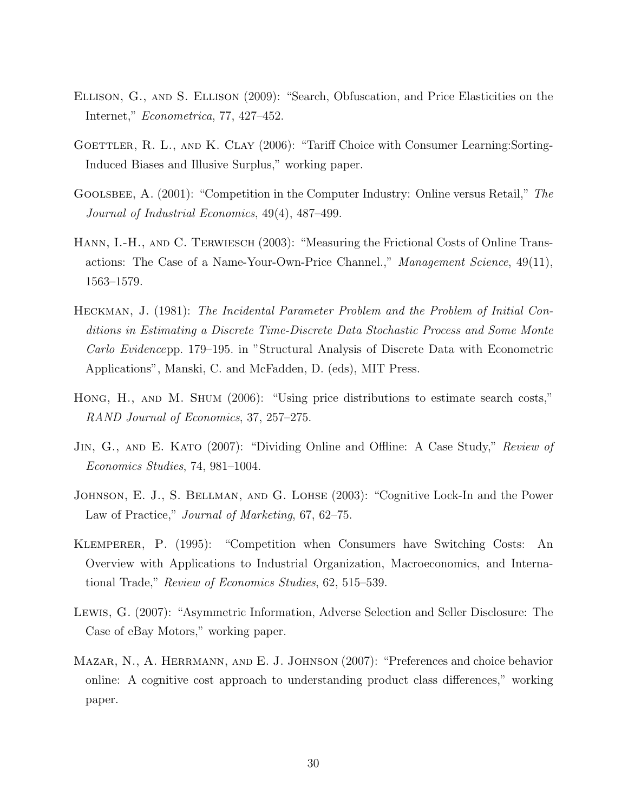- <span id="page-30-2"></span>Ellison, G., and S. Ellison (2009): "Search, Obfuscation, and Price Elasticities on the Internet," Econometrica, 77, 427–452.
- <span id="page-30-3"></span>GOETTLER, R. L., AND K. CLAY (2006): "Tariff Choice with Consumer Learning: Sorting-Induced Biases and Illusive Surplus," working paper.
- <span id="page-30-1"></span>GOOLSBEE, A. (2001): "Competition in the Computer Industry: Online versus Retail," The Journal of Industrial Economics, 49(4), 487–499.
- <span id="page-30-4"></span>Hann, I.-H., and C. Terwiesch (2003): "Measuring the Frictional Costs of Online Transactions: The Case of a Name-Your-Own-Price Channel.," Management Science, 49(11), 1563–1579.
- <span id="page-30-9"></span>Heckman, J. (1981): The Incidental Parameter Problem and the Problem of Initial Conditions in Estimating a Discrete Time-Discrete Data Stochastic Process and Some Monte Carlo Evidencepp. 179–195. in "Structural Analysis of Discrete Data with Econometric Applications", Manski, C. and McFadden, D. (eds), MIT Press.
- <span id="page-30-7"></span>Hong, H., and M. Shum (2006): "Using price distributions to estimate search costs," RAND Journal of Economics, 37, 257–275.
- <span id="page-30-5"></span>JIN, G., AND E. KATO (2007): "Dividing Online and Offline: A Case Study," Review of Economics Studies, 74, 981–1004.
- <span id="page-30-8"></span>Johnson, E. J., S. Bellman, and G. Lohse (2003): "Cognitive Lock-In and the Power Law of Practice," *Journal of Marketing*, 67, 62–75.
- <span id="page-30-0"></span>Klemperer, P. (1995): "Competition when Consumers have Switching Costs: An Overview with Applications to Industrial Organization, Macroeconomics, and International Trade," Review of Economics Studies, 62, 515–539.
- <span id="page-30-10"></span>Lewis, G. (2007): "Asymmetric Information, Adverse Selection and Seller Disclosure: The Case of eBay Motors," working paper.
- <span id="page-30-6"></span>Mazar, N., A. Herrmann, and E. J. Johnson (2007): "Preferences and choice behavior online: A cognitive cost approach to understanding product class differences," working paper.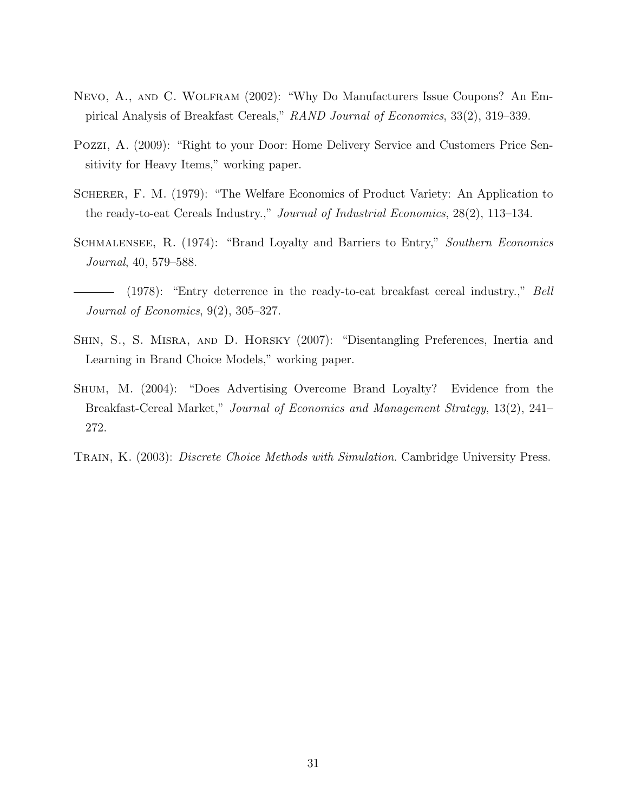- <span id="page-31-6"></span>Nevo, A., and C. Wolfram (2002): "Why Do Manufacturers Issue Coupons? An Empirical Analysis of Breakfast Cereals," RAND Journal of Economics, 33(2), 319–339.
- <span id="page-31-3"></span>Pozzi, A. (2009): "Right to your Door: Home Delivery Service and Customers Price Sensitivity for Heavy Items," working paper.
- <span id="page-31-1"></span>Scherer, F. M. (1979): "The Welfare Economics of Product Variety: An Application to the ready-to-eat Cereals Industry.," Journal of Industrial Economics, 28(2), 113–134.
- <span id="page-31-0"></span>SCHMALENSEE, R. (1974): "Brand Loyalty and Barriers to Entry," Southern Economics Journal, 40, 579–588.
- <span id="page-31-2"></span>(1978): "Entry deterrence in the ready-to-eat breakfast cereal industry.," Bell Journal of Economics, 9(2), 305–327.
- <span id="page-31-4"></span>Shin, S., S. Misra, and D. Horsky (2007): "Disentangling Preferences, Inertia and Learning in Brand Choice Models," working paper.
- <span id="page-31-5"></span>Shum, M. (2004): "Does Advertising Overcome Brand Loyalty? Evidence from the Breakfast-Cereal Market," Journal of Economics and Management Strategy, 13(2), 241– 272.
- <span id="page-31-7"></span>TRAIN, K. (2003): *Discrete Choice Methods with Simulation*. Cambridge University Press.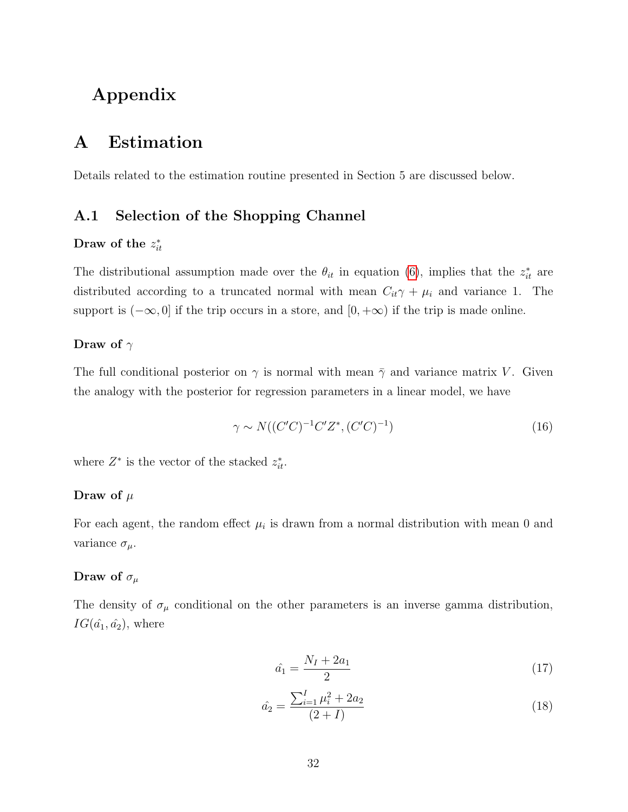### Appendix

### A Estimation

Details related to the estimation routine presented in Section 5 are discussed below.

### A.1 Selection of the Shopping Channel

### Draw of the  $z_{it}^*$

The distributional assumption made over the  $\theta_{it}$  in equation [\(6\)](#page-16-0), implies that the  $z_{it}^*$  are distributed according to a truncated normal with mean  $C_{it}\gamma + \mu_i$  and variance 1. The support is  $(-\infty, 0]$  if the trip occurs in a store, and  $[0, +\infty)$  if the trip is made online.

### Draw of  $\gamma$

The full conditional posterior on  $\gamma$  is normal with mean  $\bar{\gamma}$  and variance matrix V. Given the analogy with the posterior for regression parameters in a linear model, we have

$$
\gamma \sim N((C'C)^{-1}C'Z^*, (C'C)^{-1})
$$
\n(16)

where  $Z^*$  is the vector of the stacked  $z_{it}^*$ .

#### Draw of  $\mu$

For each agent, the random effect  $\mu_i$  is drawn from a normal distribution with mean 0 and variance  $\sigma_{\mu}$ .

### Draw of  $\sigma_\mu$

The density of  $\sigma_{\mu}$  conditional on the other parameters is an inverse gamma distribution,  $IG(\hat{a_1}, \hat{a_2})$ , where

$$
\hat{a_1} = \frac{N_I + 2a_1}{2} \tag{17}
$$

$$
\hat{a_2} = \frac{\sum_{i=1}^{I} \mu_i^2 + 2a_2}{(2+I)}
$$
\n(18)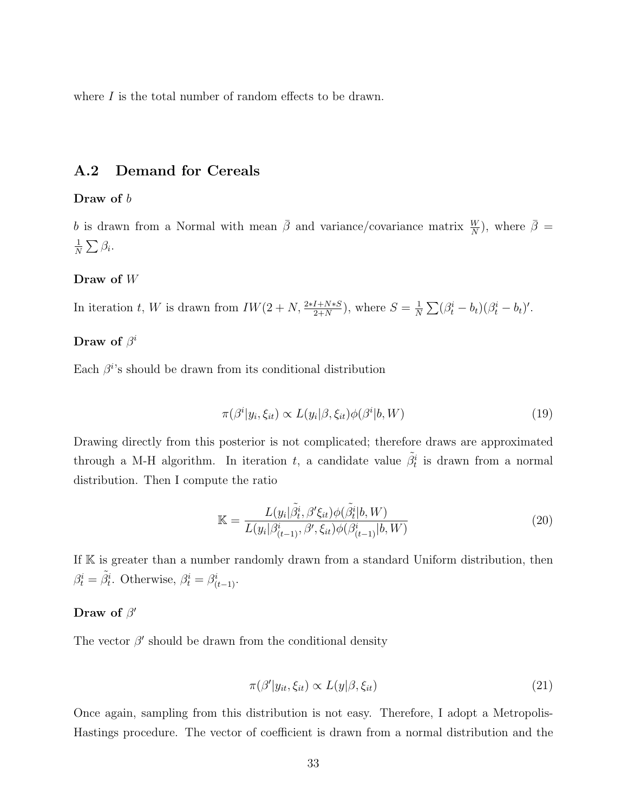where I is the total number of random effects to be drawn.

### A.2 Demand for Cereals

#### Draw of b

b is drawn from a Normal with mean  $\bar{\beta}$  and variance/covariance matrix  $\frac{W}{N}$ ), where  $\bar{\beta}$  = 1  $\frac{1}{N}\sum \beta_i$ .

#### Draw of W

In iteration t, W is drawn from  $IW(2+N, \frac{2*I+N*S}{2+N})$ , where  $S=\frac{1}{N}$  $\frac{1}{N}\sum_{i}(\beta_t^i - b_t)(\beta_t^i - b_t)'$ .

### Draw of  $\beta^i$

Each  $\beta^{i}$ 's should be drawn from its conditional distribution

$$
\pi(\beta^i|y_i, \xi_{it}) \propto L(y_i|\beta, \xi_{it})\phi(\beta^i|b, W) \tag{19}
$$

Drawing directly from this posterior is not complicated; therefore draws are approximated through a M-H algorithm. In iteration t, a candidate value  $\tilde{\beta}_t^i$  is drawn from a normal distribution. Then I compute the ratio

$$
\mathbb{K} = \frac{L(y_i|\tilde{\beta}_t^i, \beta' \xi_{it})\phi(\tilde{\beta}_t^i|b, W)}{L(y_i|\beta_{(t-1)}^i, \beta', \xi_{it})\phi(\beta_{(t-1)}^i|b, W)}
$$
(20)

If K is greater than a number randomly drawn from a standard Uniform distribution, then  $\beta_t^i = \tilde{\beta}_t^i$ . Otherwise,  $\beta_t^i = \beta_{(t-1)}^i$ .

### Draw of  $\beta'$

The vector  $\beta'$  should be drawn from the conditional density

$$
\pi(\beta'|y_{it}, \xi_{it}) \propto L(y|\beta, \xi_{it})\tag{21}
$$

Once again, sampling from this distribution is not easy. Therefore, I adopt a Metropolis-Hastings procedure. The vector of coefficient is drawn from a normal distribution and the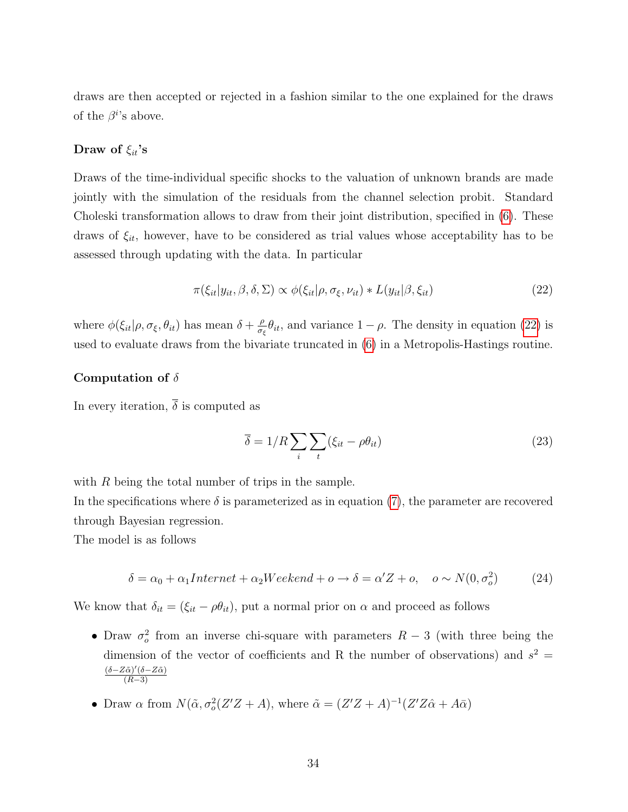draws are then accepted or rejected in a fashion similar to the one explained for the draws of the  $\beta^{i}$ 's above.

#### Draw of  $\xi_{it}$ 's

Draws of the time-individual specific shocks to the valuation of unknown brands are made jointly with the simulation of the residuals from the channel selection probit. Standard Choleski transformation allows to draw from their joint distribution, specified in [\(6\)](#page-16-0). These draws of  $\xi_{it}$ , however, have to be considered as trial values whose acceptability has to be assessed through updating with the data. In particular

<span id="page-34-0"></span>
$$
\pi(\xi_{it}|y_{it}, \beta, \delta, \Sigma) \propto \phi(\xi_{it}|\rho, \sigma_{\xi}, \nu_{it}) * L(y_{it}|\beta, \xi_{it})
$$
\n(22)

where  $\phi(\xi_{it}|\rho, \sigma_{\xi}, \theta_{it})$  has mean  $\delta + \frac{\rho}{\sigma_{it}}$  $\frac{\rho}{\sigma_{\xi}}\theta_{it}$ , and variance  $1-\rho$ . The density in equation [\(22\)](#page-34-0) is used to evaluate draws from the bivariate truncated in [\(6\)](#page-16-0) in a Metropolis-Hastings routine.

#### Computation of  $\delta$

In every iteration,  $\overline{\delta}$  is computed as

$$
\overline{\delta} = 1/R \sum_{i} \sum_{t} (\xi_{it} - \rho \theta_{it})
$$
\n(23)

with  $R$  being the total number of trips in the sample.

In the specifications where  $\delta$  is parameterized as in equation [\(7\)](#page-16-1), the parameter are recovered through Bayesian regression.

The model is as follows

<span id="page-34-1"></span>
$$
\delta = \alpha_0 + \alpha_1 Internet + \alpha_2 Weekend + o \to \delta = \alpha'Z + o, \quad o \sim N(0, \sigma_o^2)
$$
 (24)

We know that  $\delta_{it} = (\xi_{it} - \rho \theta_{it})$ , put a normal prior on  $\alpha$  and proceed as follows

- Draw  $\sigma_o^2$  from an inverse chi-square with parameters  $R-3$  (with three being the dimension of the vector of coefficients and R the number of observations) and  $s^2 =$  $(\delta - Z\tilde{\alpha})'(\delta - Z\tilde{\alpha})$  $(R-3)$
- Draw  $\alpha$  from  $N(\tilde{\alpha}, \sigma_o^2(Z'Z+A))$ , where  $\tilde{\alpha} = (Z'Z+A)^{-1}(Z'Z\hat{\alpha} + A\bar{\alpha})$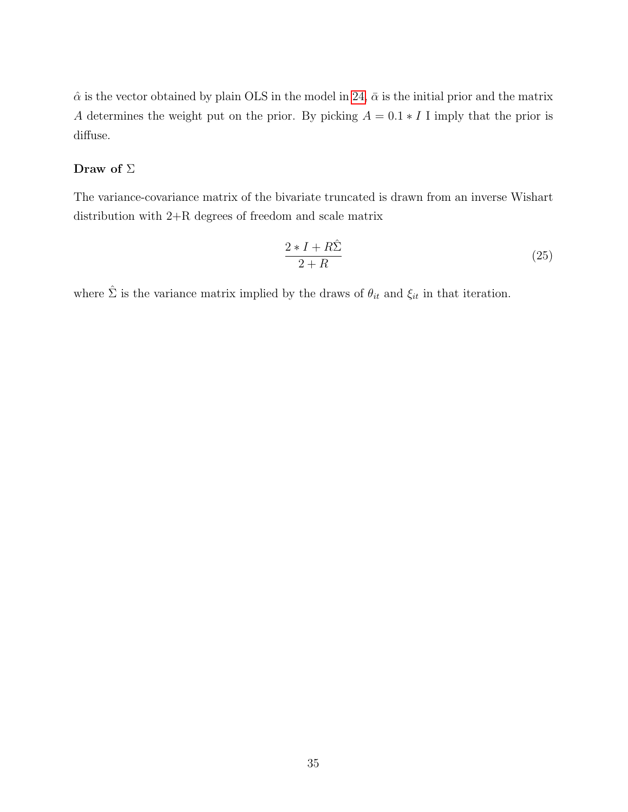$\hat{\alpha}$  is the vector obtained by plain OLS in the model in [24,](#page-34-1)  $\bar{\alpha}$  is the initial prior and the matrix A determines the weight put on the prior. By picking  $A = 0.1 * I$  I imply that the prior is diffuse.

### Draw of Σ

The variance-covariance matrix of the bivariate truncated is drawn from an inverse Wishart distribution with 2+R degrees of freedom and scale matrix

$$
\frac{2 * I + R\hat{\Sigma}}{2 + R}
$$
 (25)

where  $\hat{\Sigma}$  is the variance matrix implied by the draws of  $\theta_{it}$  and  $\xi_{it}$  in that iteration.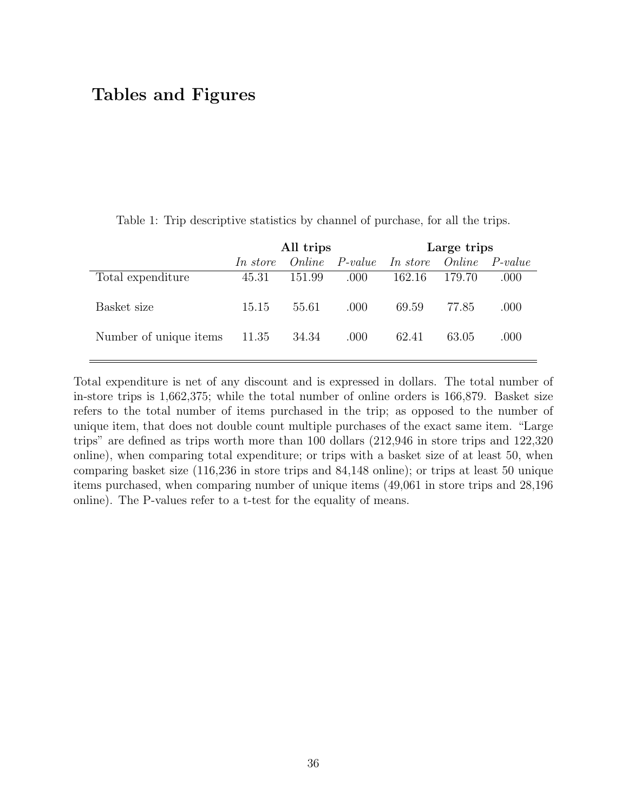### Tables and Figures

|                        | All trips |        |           | Large trips     |        |                |
|------------------------|-----------|--------|-----------|-----------------|--------|----------------|
|                        | In store  | Online | $P-value$ | <i>In store</i> |        | Online P-value |
| Total expenditure      | 45.31     | 151.99 | .000      | 162.16          | 179.70 | .000           |
| Basket size            | 15.15     | 55.61  | .000      | 69.59           | 77.85  | .000           |
| Number of unique items | 11.35     | 34.34  | .000.     | 62.41           | 63.05  | .000           |

<span id="page-36-0"></span>Table 1: Trip descriptive statistics by channel of purchase, for all the trips.

Total expenditure is net of any discount and is expressed in dollars. The total number of in-store trips is 1,662,375; while the total number of online orders is 166,879. Basket size refers to the total number of items purchased in the trip; as opposed to the number of unique item, that does not double count multiple purchases of the exact same item. "Large trips" are defined as trips worth more than 100 dollars (212,946 in store trips and 122,320 online), when comparing total expenditure; or trips with a basket size of at least 50, when comparing basket size (116,236 in store trips and 84,148 online); or trips at least 50 unique items purchased, when comparing number of unique items (49,061 in store trips and 28,196 online). The P-values refer to a t-test for the equality of means.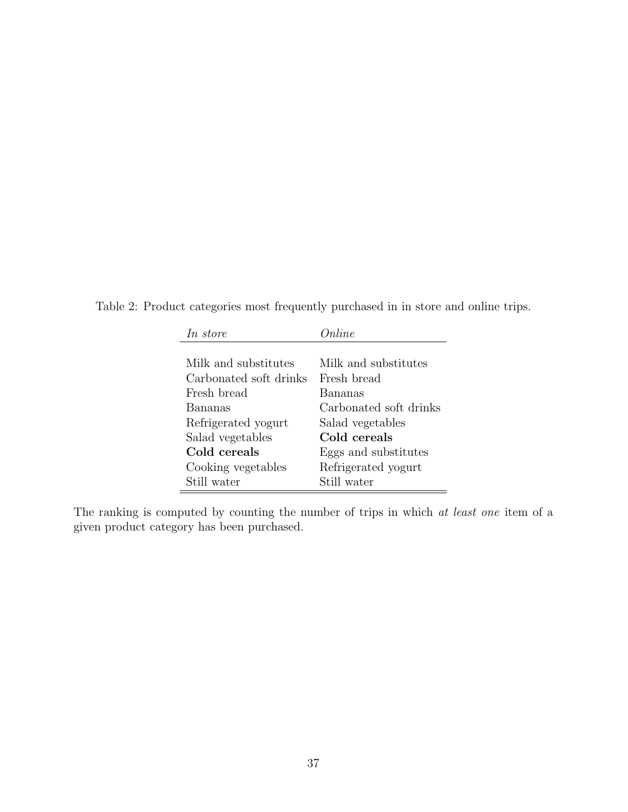<span id="page-37-0"></span>

| $n$ line               |
|------------------------|
|                        |
| Milk and substitutes   |
| Fresh bread            |
| Bananas                |
| Carbonated soft drinks |
| Salad vegetables       |
| Cold cereals           |
| Eggs and substitutes   |
| Refrigerated yogurt    |
| Still water            |
|                        |

Table 2: Product categories most frequently purchased in in store and online trips.

The ranking is computed by counting the number of trips in which at least one item of a given product category has been purchased.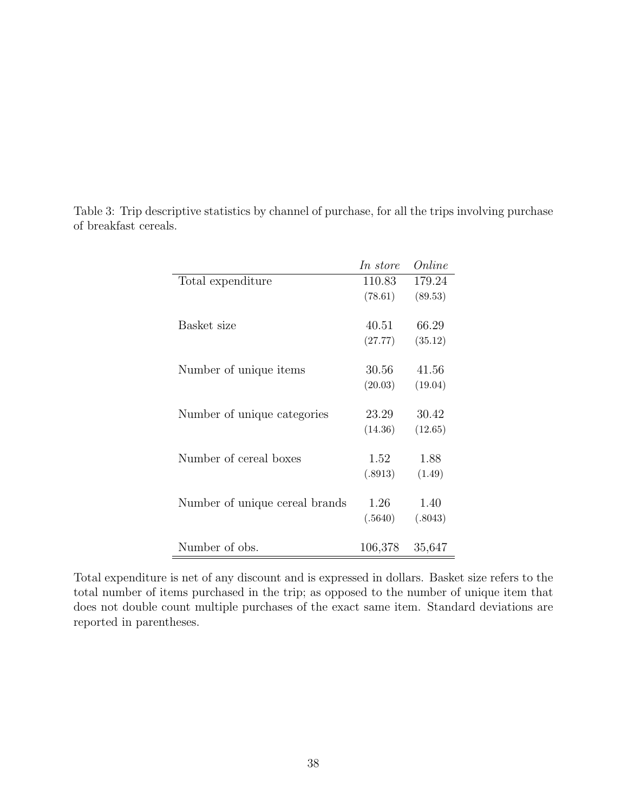|                                | In store | Online  |
|--------------------------------|----------|---------|
| Total expenditure              | 110.83   | 179.24  |
|                                | (78.61)  | (89.53) |
|                                |          |         |
| Basket size                    | 40.51    | 66.29   |
|                                | (27.77)  | (35.12) |
|                                |          |         |
| Number of unique items         | 30.56    | 41.56   |
|                                | (20.03)  | (19.04) |
| Number of unique categories    | 23.29    | 30.42   |
|                                | (14.36)  | (12.65) |
|                                |          |         |
| Number of cereal boxes         | 1.52     | 1.88    |
|                                | (.8913)  | (1.49)  |
|                                |          |         |
| Number of unique cereal brands | 1.26     | 1.40    |
|                                | (.5640)  | (.8043) |
| Number of obs.                 | 106,378  | 35,647  |
|                                |          |         |

<span id="page-38-0"></span>Table 3: Trip descriptive statistics by channel of purchase, for all the trips involving purchase of breakfast cereals.

Total expenditure is net of any discount and is expressed in dollars. Basket size refers to the total number of items purchased in the trip; as opposed to the number of unique item that does not double count multiple purchases of the exact same item. Standard deviations are reported in parentheses.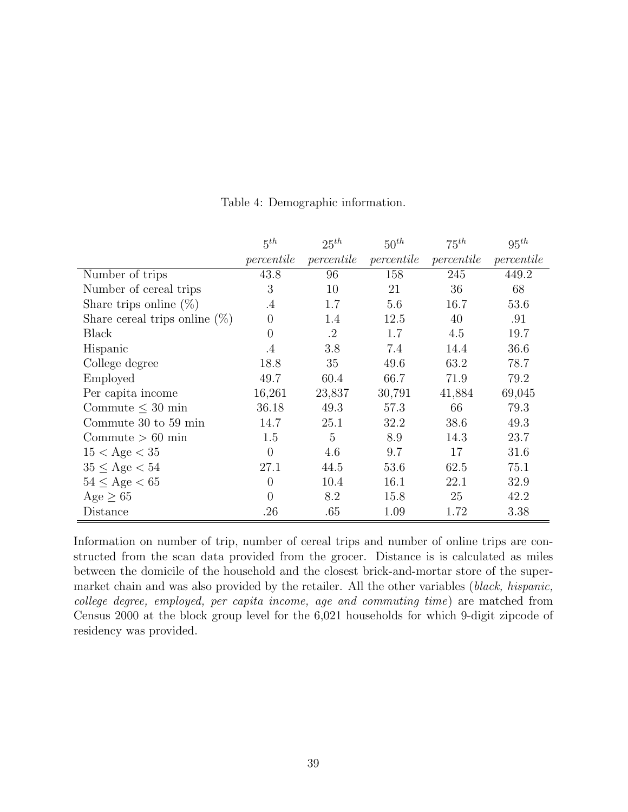|                                  | $5^{th}$       | $25^{th}$      | $50^{th}$  | $75^{th}$  | $95^{th}$  |
|----------------------------------|----------------|----------------|------------|------------|------------|
|                                  | percentile     | percentile     | percentile | percentile | percentile |
| Number of trips                  | 43.8           | 96             | 158        | 245        | 449.2      |
| Number of cereal trips           | 3              | 10             | 21         | 36         | 68         |
| Share trips online $(\%)$        | $.4\,$         | 1.7            | 5.6        | 16.7       | 53.6       |
| Share cereal trips online $(\%)$ | $\overline{0}$ | 1.4            | 12.5       | 40         | .91        |
| <b>Black</b>                     | $\overline{0}$ | $\cdot$ 2      | 1.7        | 4.5        | 19.7       |
| Hispanic                         | $.4\,$         | 3.8            | 7.4        | 14.4       | 36.6       |
| College degree                   | 18.8           | 35             | 49.6       | 63.2       | 78.7       |
| Employed                         | 49.7           | 60.4           | 66.7       | 71.9       | 79.2       |
| Per capita income                | 16,261         | 23,837         | 30,791     | 41,884     | 69,045     |
| Commute $\leq 30$ min            | 36.18          | 49.3           | 57.3       | 66         | 79.3       |
| Commute 30 to 59 min             | 14.7           | 25.1           | 32.2       | 38.6       | 49.3       |
| $Commente > 60$ min              | 1.5            | $\overline{5}$ | 8.9        | 14.3       | 23.7       |
| $15 <$ Age $< 35$                | $\overline{0}$ | 4.6            | 9.7        | 17         | 31.6       |
| $35 \leq Age < 54$               | 27.1           | 44.5           | 53.6       | 62.5       | 75.1       |
| $54 \leq \text{Age} < 65$        | $\overline{0}$ | 10.4           | 16.1       | 22.1       | 32.9       |
| Age $\geq 65$                    | $\overline{0}$ | 8.2            | 15.8       | 25         | 42.2       |
| Distance                         | .26            | .65            | 1.09       | 1.72       | 3.38       |

<span id="page-39-0"></span>Table 4: Demographic information.

Information on number of trip, number of cereal trips and number of online trips are constructed from the scan data provided from the grocer. Distance is is calculated as miles between the domicile of the household and the closest brick-and-mortar store of the supermarket chain and was also provided by the retailer. All the other variables (black, hispanic, college degree, employed, per capita income, age and commuting time) are matched from Census 2000 at the block group level for the 6,021 households for which 9-digit zipcode of residency was provided.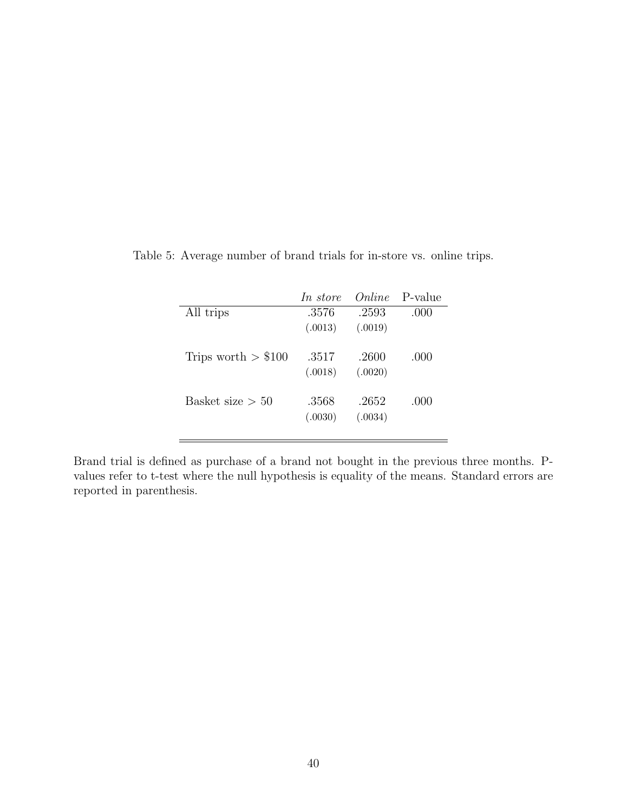<span id="page-40-0"></span>

|                      | In store         | Online           | - P-value |
|----------------------|------------------|------------------|-----------|
| All trips            | .3576            | .2593            | .000      |
|                      | (.0013)          | (.0019)          |           |
| Trips worth $> $100$ | .3517<br>(.0018) | .2600<br>(.0020) | .000      |
| Basket size $> 50$   | .3568<br>(.0030) | .2652<br>(.0034) | .000      |

Table 5: Average number of brand trials for in-store vs. online trips.

Brand trial is defined as purchase of a brand not bought in the previous three months. Pvalues refer to t-test where the null hypothesis is equality of the means. Standard errors are reported in parenthesis.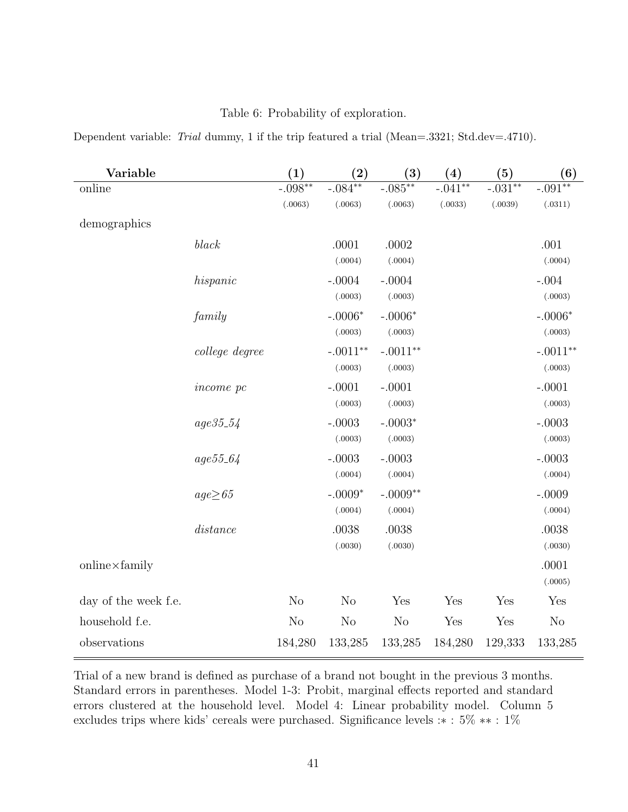#### <span id="page-41-0"></span>Table 6: Probability of exploration.

Dependent variable: Trial dummy, 1 if the trip featured a trial (Mean=.3321; Std.dev=.4710).

| Variable               |                  | (1)            | $\rm(2)$             | (3)                   | (4)      | (5)        | (6)                 |
|------------------------|------------------|----------------|----------------------|-----------------------|----------|------------|---------------------|
| online                 |                  | $-.098**$      | $-.084**$            | $-0.085**$            | $.041**$ | $-0.031**$ | $-.091**$           |
|                        |                  | (.0063)        | (.0063)              | (.0063)               | (.0033)  | (.0039)    | (.0311)             |
| demographics           |                  |                |                      |                       |          |            |                     |
|                        | black            |                | .0001                | .0002                 |          |            | .001                |
|                        |                  |                | (.0004)              | (.0004)               |          |            | (.0004)             |
|                        | hispanic         |                | $-.0004$<br>(.0003)  | $-.0004$<br>(.0003)   |          |            | $-.004$<br>(.0003)  |
|                        | family           |                | $-.0006*$            | $-.0006*$             |          |            | $-.0006*$           |
|                        |                  |                | (.0003)              | (.0003)               |          |            | (.0003)             |
|                        | college degree   |                | $-.0011**$           | $-.0011**$            |          |            | $-.0011**$          |
|                        |                  |                | (.0003)              | (.0003)               |          |            | (.0003)             |
|                        | <i>income</i> pc |                | $-.0001$             | $-.0001$              |          |            | $-.0001$            |
|                        |                  |                | (.0003)              | (.0003)               |          |            | (.0003)             |
|                        | $age35_{-}54$    |                | $-.0003$             | $-.0003*$             |          |            | $-.0003$            |
|                        |                  |                | (.0003)              | (.0003)               |          |            | (.0003)             |
|                        | $age55_64$       |                | $-.0003$             | $-.0003$              |          |            | $-.0003$            |
|                        |                  |                | (.0004)              | (.0004)               |          |            | (.0004)             |
|                        | $age \geq 65$    |                | $-.0009*$<br>(.0004) | $-.0009**$<br>(.0004) |          |            | $-.0009$<br>(.0004) |
|                        | distance         |                | $.0038\,$            | .0038                 |          |            | .0038               |
|                        |                  |                | (.0030)              | (.0030)               |          |            | (.0030)             |
| $online \times family$ |                  |                |                      |                       |          |            | .0001               |
|                        |                  |                |                      |                       |          |            | (.0005)             |
| day of the week f.e.   |                  | N <sub>o</sub> | N <sub>o</sub>       | Yes                   | Yes      | Yes        | Yes                 |
| household f.e.         |                  | N <sub>o</sub> | $\rm No$             | No                    | Yes      | Yes        | $\rm No$            |
| observations           |                  | 184,280        | 133,285              | 133,285               | 184,280  | 129,333    | 133,285             |

Trial of a new brand is defined as purchase of a brand not bought in the previous 3 months. Standard errors in parentheses. Model 1-3: Probit, marginal effects reported and standard errors clustered at the household level. Model 4: Linear probability model. Column 5 excludes trips where kids' cereals were purchased. Significance levels :∗ : 5% ∗∗ : 1%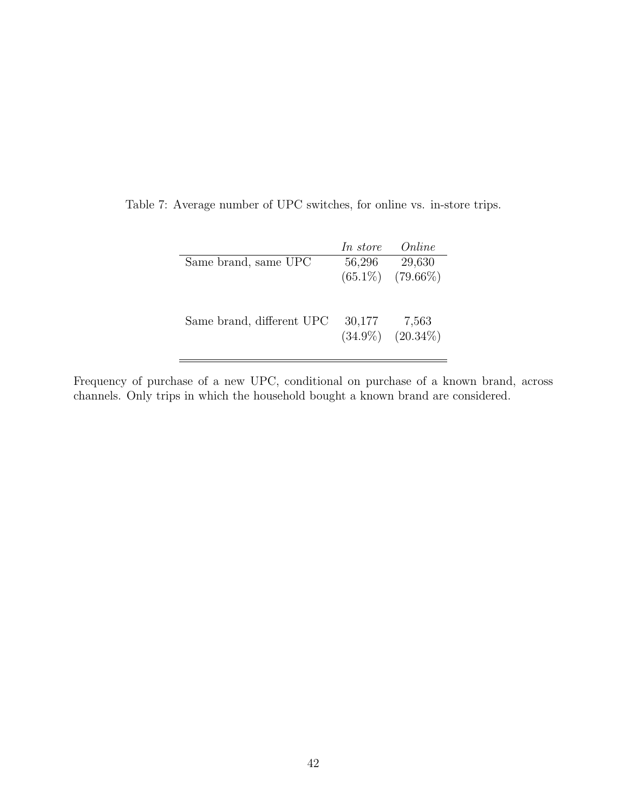<span id="page-42-0"></span>

|                           | In store             | Online               |
|---------------------------|----------------------|----------------------|
| Same brand, same UPC      | 56,296               | 29,630               |
|                           | $(65.1\%)$           | $(79.66\%)$          |
| Same brand, different UPC | 30,177<br>$(34.9\%)$ | 7,563<br>$(20.34\%)$ |

Table 7: Average number of UPC switches, for online vs. in-store trips.

Frequency of purchase of a new UPC, conditional on purchase of a known brand, across channels. Only trips in which the household bought a known brand are considered.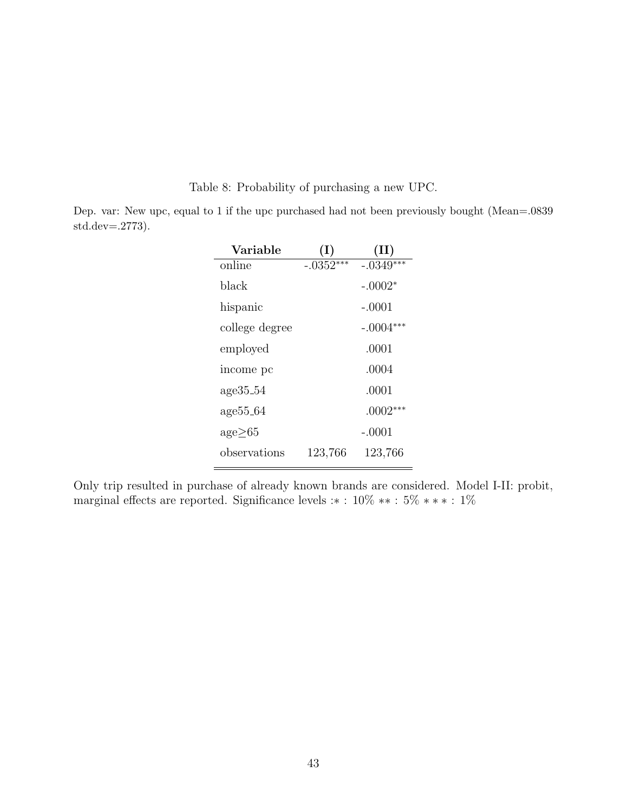<span id="page-43-0"></span>Table 8: Probability of purchasing a new UPC.

Dep. var: New upc, equal to 1 if the upc purchased had not been previously bought (Mean=.0839 std.dev=.2773).

| Variable       | $(\mathrm{I})$ | $(\mathrm{II})$ |
|----------------|----------------|-----------------|
| online         | $-.0352***$    | $-.0349***$     |
| black          |                | $-.0002*$       |
| hispanic       |                | $-.0001$        |
| college degree |                | $-.0004***$     |
| employed       |                | .0001           |
| income pc      |                | .0004           |
| $age35_54$     |                | .0001           |
| $age55_64$     |                | $.0002***$      |
| $age \geq 65$  |                | $-.0001$        |
| observations   | 123,766        | 123,766         |

Only trip resulted in purchase of already known brands are considered. Model I-II: probit, marginal effects are reported. Significance levels :∗ : 10% ∗∗ : 5% ∗ ∗ ∗ : 1%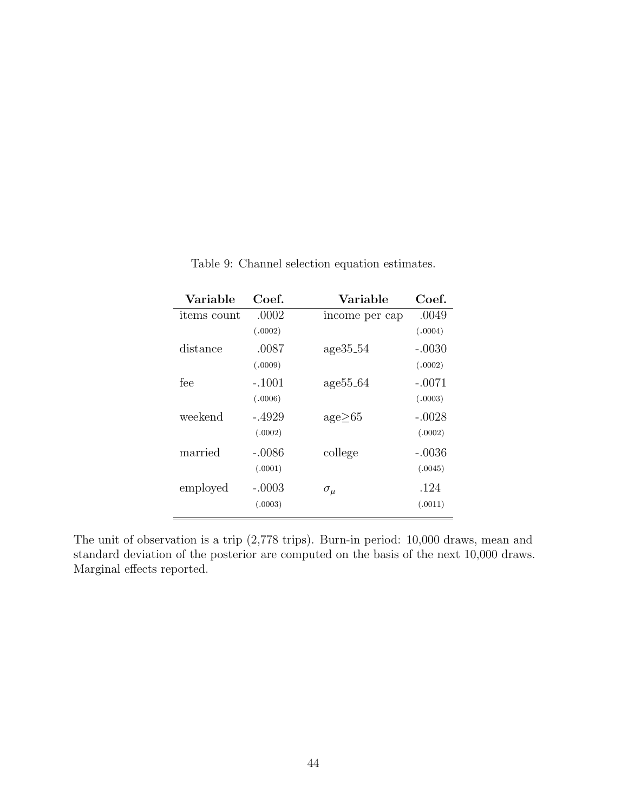| Coef.    | Variable       | Coef.          |
|----------|----------------|----------------|
| .0002    | income per cap | .0049          |
| (.0002)  |                | (.0004)        |
| .0087    | age35.54       | $-.0030$       |
| (.0009)  |                | (.0002)        |
| $-.1001$ | $age55_64$     | $-.0071$       |
| (.0006)  |                | (.0003)        |
| -.4929   | $age \geq 65$  | $-.0028$       |
| (.0002)  |                | (.0002)        |
| $-.0086$ | college        | $-.0036$       |
| (.0001)  |                | (.0045)        |
| $-.0003$ |                | .124           |
| (.0003)  |                | (.0011)        |
|          |                | $\sigma_{\mu}$ |

<span id="page-44-0"></span>Table 9: Channel selection equation estimates.

The unit of observation is a trip (2,778 trips). Burn-in period: 10,000 draws, mean and standard deviation of the posterior are computed on the basis of the next 10,000 draws. Marginal effects reported.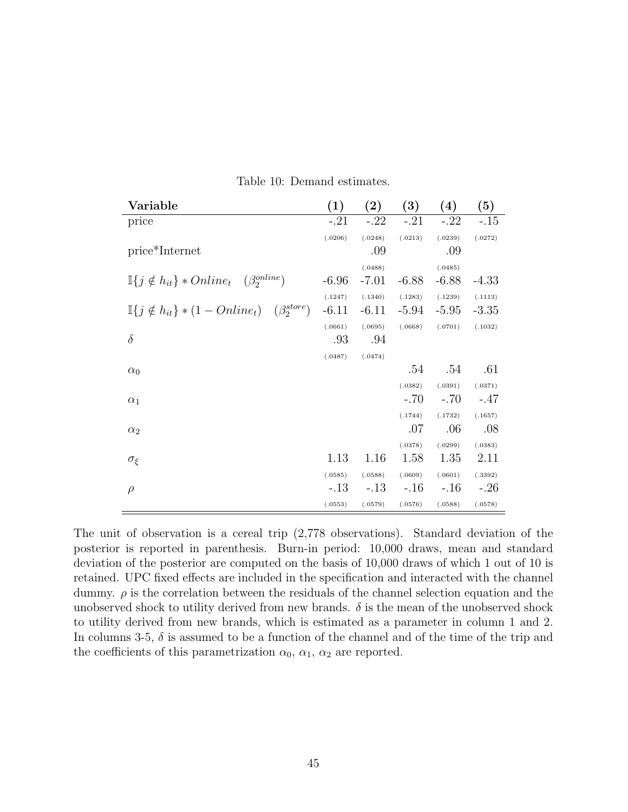| Variable                                                                             | (1)     | $\left( 2\right)$ | (3)     | (4)     | (5)     |
|--------------------------------------------------------------------------------------|---------|-------------------|---------|---------|---------|
| price                                                                                | $-.21$  | $-.22$            | $-.21$  | $-.22$  | $-.15$  |
|                                                                                      | (.0206) | (.0248)           | (.0213) | (.0239) | (.0272) |
| price*Internet                                                                       |         | .09               |         | .09     |         |
|                                                                                      |         | (.0488)           |         | (.0485) |         |
| $\mathbb{I}\{j \notin h_{it}\}\ast Online_t \quad (\beta_2^{online})$                | $-6.96$ | $-7.01$           | $-6.88$ | $-6.88$ | $-4.33$ |
|                                                                                      | (.1247) | (.1340)           | (.1283) | (.1239) | (.1113) |
| $\mathbb{I}\lbrace j \notin h_{it} \rbrace * (1 - Online_t) \quad (\beta_2^{store})$ | $-6.11$ | $-6.11$           | $-5.94$ | $-5.95$ | $-3.35$ |
|                                                                                      | (.0661) | (.0695)           | (.0668) | (.0701) | (.1032) |
| $\delta$                                                                             | .93     | .94               |         |         |         |
|                                                                                      | (.0487) | (.0474)           |         |         |         |
| $\alpha_0$                                                                           |         |                   | .54     | .54     | .61     |
|                                                                                      |         |                   | (.0382) | (.0391) | (.0371) |
| $\alpha_1$                                                                           |         |                   | $-.70$  | $-.70$  | $-.47$  |
|                                                                                      |         |                   | (.1744) | (.1732) | (.1657) |
| $\alpha_2$                                                                           |         |                   | .07     | .06     | .08     |
|                                                                                      |         |                   | (.0378) | (.0299) | (.0383) |
| $\sigma_{\xi}$                                                                       | 1.13    | 1.16              | 1.58    | 1.35    | 2.11    |
|                                                                                      | (.0585) | (.0588)           | (.0609) | (.0601) | (.3392) |
| $\rho$                                                                               | $-.13$  | $-.13$            | $-.16$  | $-.16$  | $-.26$  |
|                                                                                      | (.0553) | (.0579)           | (.0576) | (.0588) | (.0578) |

<span id="page-45-0"></span>Table 10: Demand estimates.

The unit of observation is a cereal trip (2,778 observations). Standard deviation of the posterior is reported in parenthesis. Burn-in period: 10,000 draws, mean and standard deviation of the posterior are computed on the basis of 10,000 draws of which 1 out of 10 is retained. UPC fixed effects are included in the specification and interacted with the channel dummy.  $\rho$  is the correlation between the residuals of the channel selection equation and the unobserved shock to utility derived from new brands.  $\delta$  is the mean of the unobserved shock to utility derived from new brands, which is estimated as a parameter in column 1 and 2. In columns 3-5,  $\delta$  is assumed to be a function of the channel and of the time of the trip and the coefficients of this parametrization  $\alpha_0$ ,  $\alpha_1$ ,  $\alpha_2$  are reported.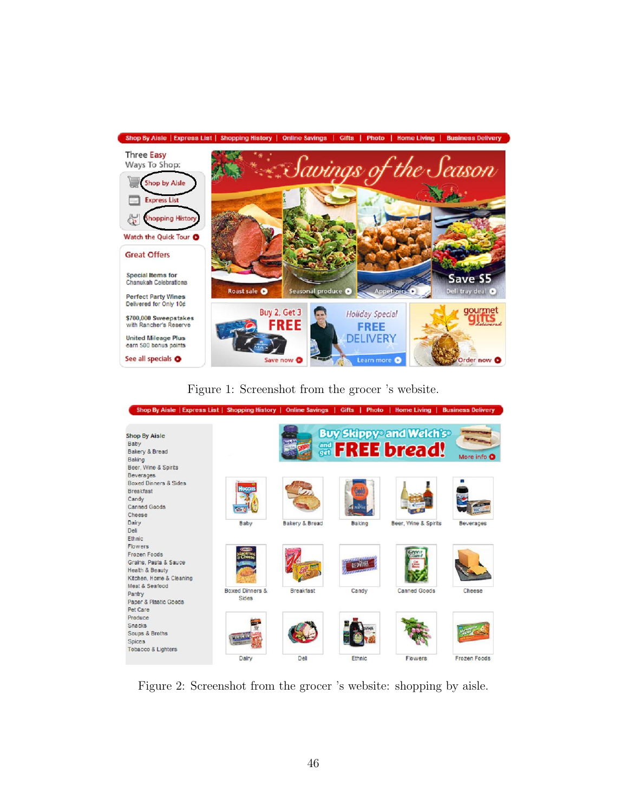

Figure 1: Screenshot from the grocer 's website.

<span id="page-46-0"></span>

|                                                                                                                                                                       | Shop By Aisle   Express List   Shopping History | <b>Online Savings</b> | Photo<br><b>Gifts</b> | <b>Home Living</b>                                                        | <b>Business Delivery</b> |
|-----------------------------------------------------------------------------------------------------------------------------------------------------------------------|-------------------------------------------------|-----------------------|-----------------------|---------------------------------------------------------------------------|--------------------------|
| <b>Shop By Aisle</b><br>Baby<br>Bakery & Bread<br>Baking                                                                                                              |                                                 | und de                |                       | <b>Buy Skippy® and Welch's®</b><br><b><i><sup>2</sup> FREE</i></b> bread! | More info O              |
| Beer, Wine & Spirits<br>Beverages<br><b>Boxed Dinners &amp; Sides</b><br>Breakfast<br>Candy<br>Canned Goods<br>Cheese                                                 |                                                 |                       |                       |                                                                           |                          |
| Dairy<br>Deli                                                                                                                                                         | Baby                                            | Bakery & Bread        | Baking                | Beer, Wine & Spirits                                                      | Beverages                |
| Ethnic<br><b>Flowers</b><br>Frozen Foods<br>Grains, Pasta & Sauce<br>Health & Beauty<br>Kitchen, Home & Cleaning<br>Meat & Seafood<br>Pantry<br>Paper & Plastic Goods | <b>Boxed Dinners &amp;</b><br>Sides             | Breakfast             | Candy                 | Green<br>1000<br><b>Canned Goods</b>                                      | Cheese                   |
| Pet Care<br>Produce<br>Snacks<br>Soups & Broths<br>Spices<br><b>Tobacco &amp; Lighters</b>                                                                            | Dairy                                           | Deli                  | Ethnic                | Flowers                                                                   | Frozen Foods             |

<span id="page-46-1"></span>Figure 2: Screenshot from the grocer 's website: shopping by aisle.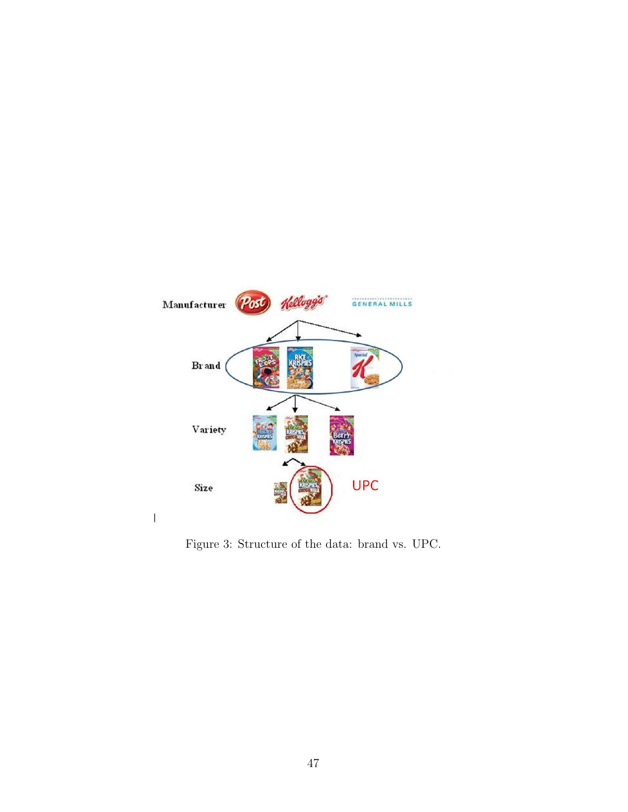

<span id="page-47-0"></span>Figure 3: Structure of the data: brand vs. UPC.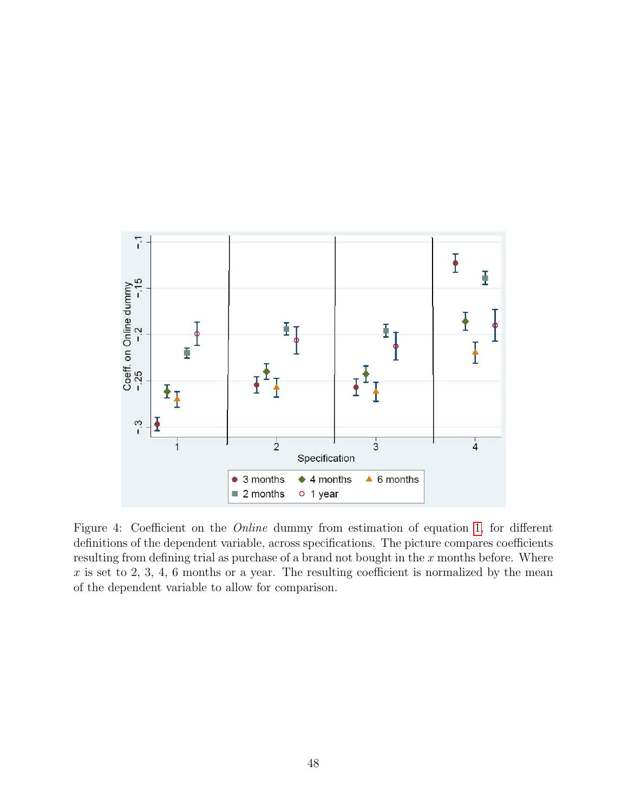

<span id="page-48-0"></span>Figure 4: Coefficient on the Online dummy from estimation of equation [1,](#page-10-0) for different definitions of the dependent variable, across specifications. The picture compares coefficients resulting from defining trial as purchase of a brand not bought in the  $x$  months before. Where  $x$  is set to 2, 3, 4, 6 months or a year. The resulting coefficient is normalized by the mean of the dependent variable to allow for comparison.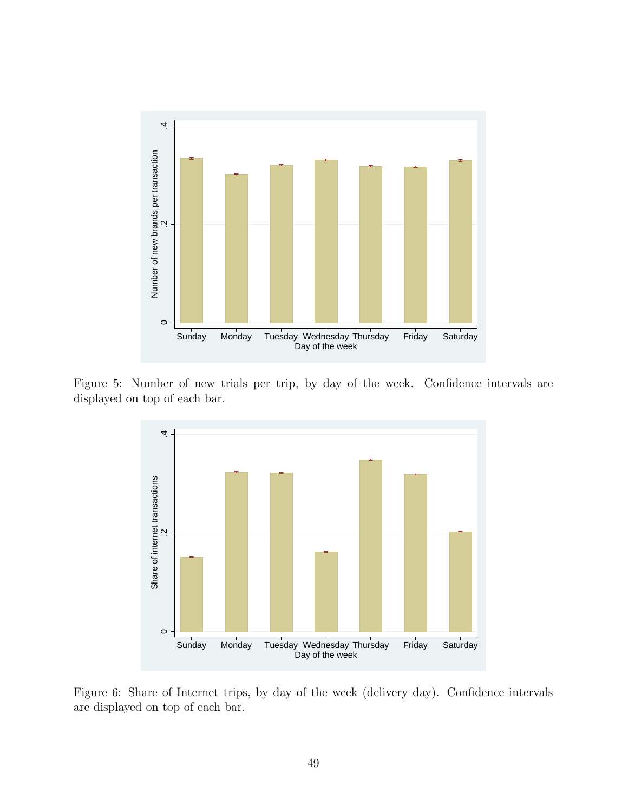

Figure 5: Number of new trials per trip, by day of the week. Confidence intervals are displayed on top of each bar.

<span id="page-49-0"></span>

<span id="page-49-1"></span>Figure 6: Share of Internet trips, by day of the week (delivery day). Confidence intervals are displayed on top of each bar.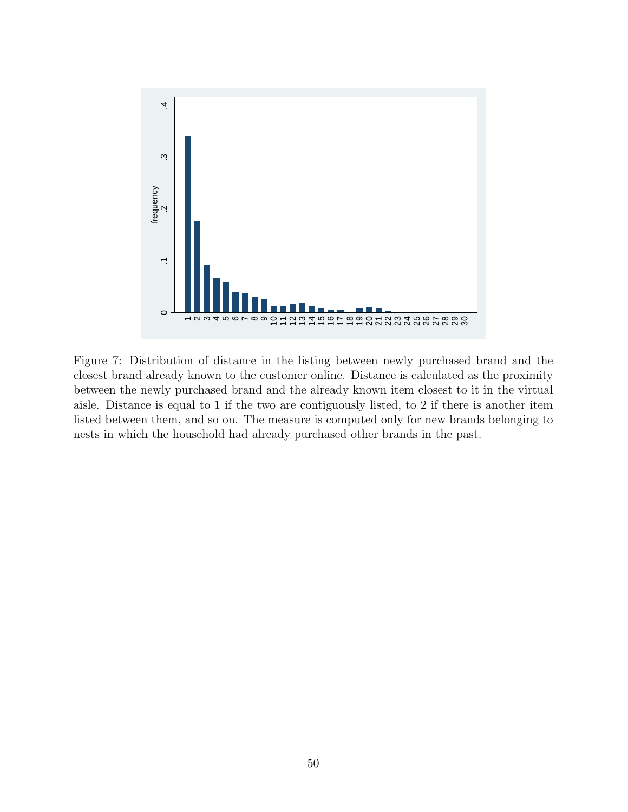

<span id="page-50-0"></span>Figure 7: Distribution of distance in the listing between newly purchased brand and the closest brand already known to the customer online. Distance is calculated as the proximity between the newly purchased brand and the already known item closest to it in the virtual aisle. Distance is equal to 1 if the two are contiguously listed, to 2 if there is another item listed between them, and so on. The measure is computed only for new brands belonging to nests in which the household had already purchased other brands in the past.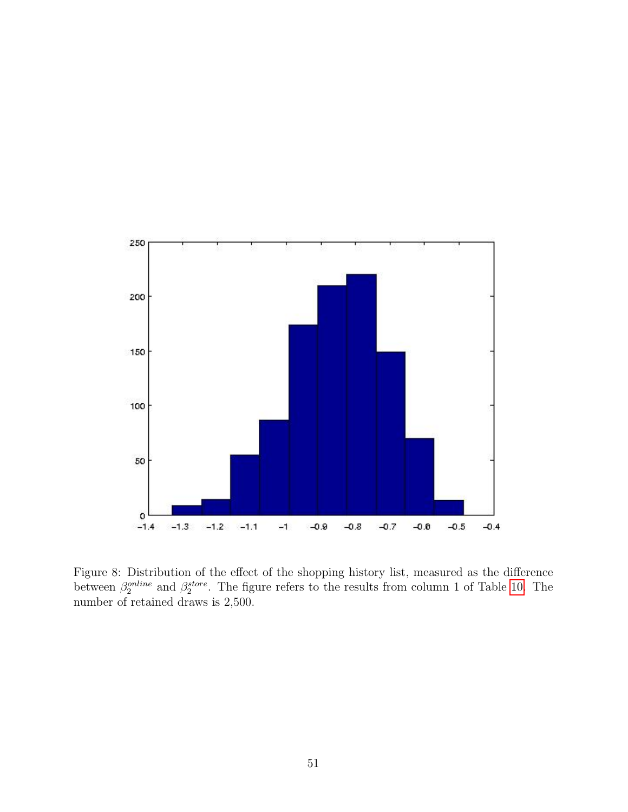

<span id="page-51-0"></span>Figure 8: Distribution of the effect of the shopping history list, measured as the difference between  $\beta_2^{online}$  and  $\beta_2^{store}$ . The figure refers to the results from column 1 of Table [10.](#page-45-0) The number of retained draws is 2,500.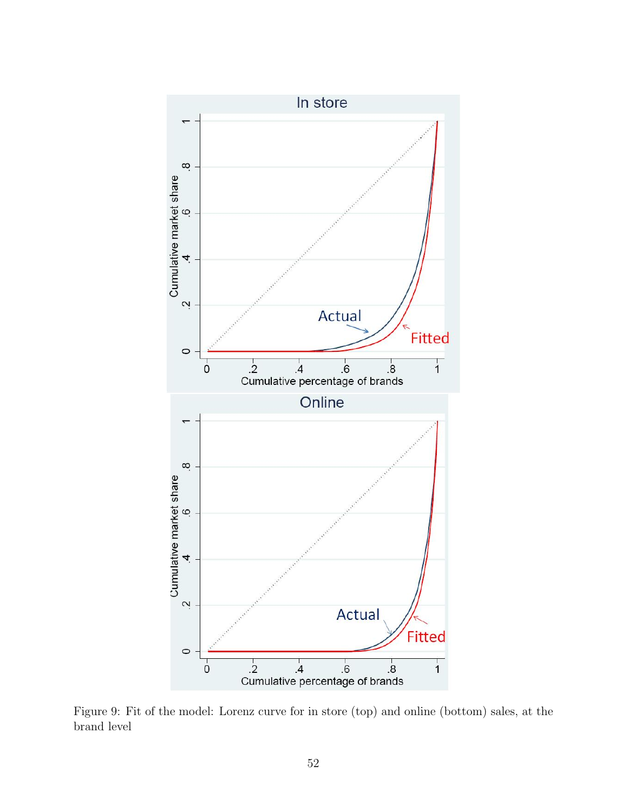

<span id="page-52-0"></span>Figure 9: Fit of the model: Lorenz curve for in store (top) and online (bottom) sales, at the brand level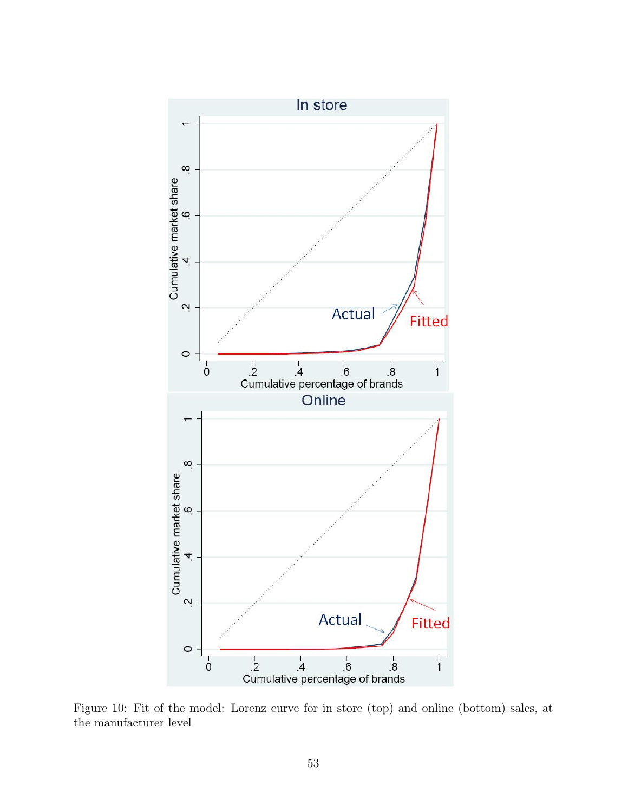

<span id="page-53-0"></span>Figure 10: Fit of the model: Lorenz curve for in store (top) and online (bottom) sales, at the manufacturer level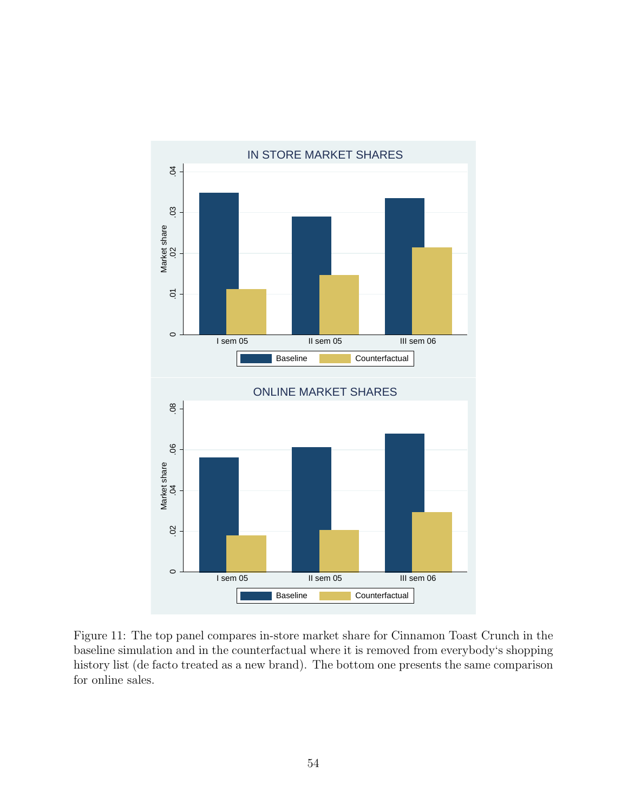

<span id="page-54-0"></span>Figure 11: The top panel compares in-store market share for Cinnamon Toast Crunch in the baseline simulation and in the counterfactual where it is removed from everybody's shopping history list (de facto treated as a new brand). The bottom one presents the same comparison for online sales.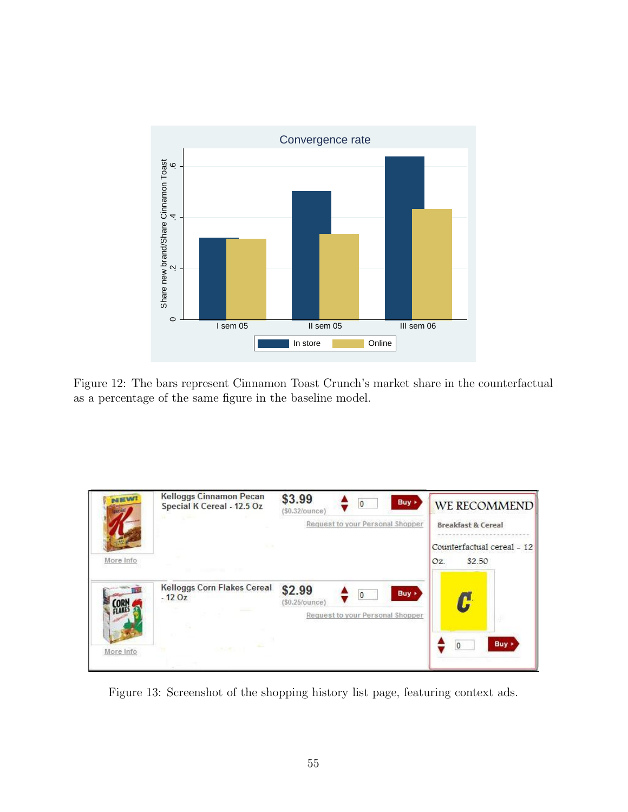

<span id="page-55-0"></span>Figure 12: The bars represent Cinnamon Toast Crunch's market share in the counterfactual as a percentage of the same figure in the baseline model.

| <b>NEW!</b> | Kelloggs Cinnamon Pecan<br>Special K Cereal - 12.5 Oz | \$3.99<br>Buy ><br>$\overline{0}$<br>(S0.32/ounce)                                     | <b>WE RECOMMEND</b>                                                          |
|-------------|-------------------------------------------------------|----------------------------------------------------------------------------------------|------------------------------------------------------------------------------|
| More Info   | <b>Bill and Controller Controller State</b>           | Request to your Personal Shopper                                                       | <b>Breakfast &amp; Cereal</b><br>Counterfactual cereal - 12<br>\$2.50<br>Oz. |
|             | <b>Kelloggs Corn Flakes Cereal</b><br>$-120z$         | \$2.99<br>Buy ><br>$\overline{0}$<br>(S0.25/ounce)<br>Request to your Personal Shopper | U                                                                            |
| More Info   | <b>MARKET LESSON</b>                                  |                                                                                        | Buy >                                                                        |

<span id="page-55-1"></span>Figure 13: Screenshot of the shopping history list page, featuring context ads.